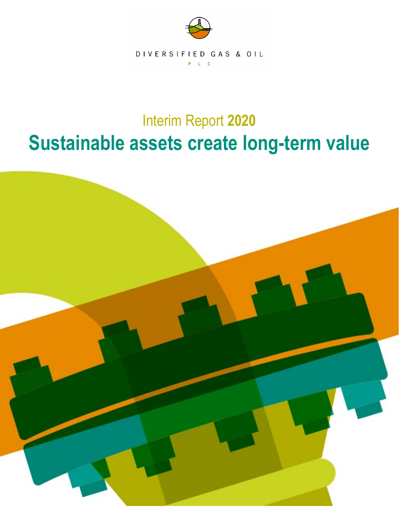

# Interim Report **2020 Sustainable assets create long-term value**

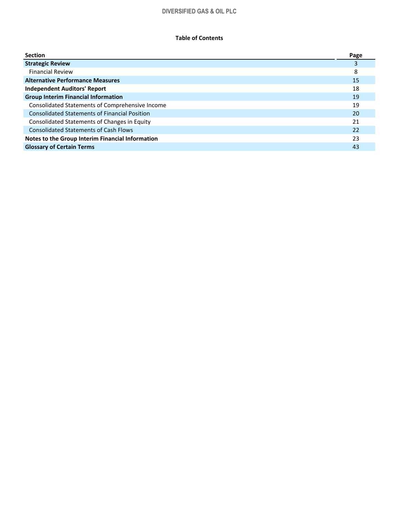# **Table of Contents**

| <b>Section</b>                                       | Page |
|------------------------------------------------------|------|
| <b>Strategic Review</b>                              | 3    |
| <b>Financial Review</b>                              | 8    |
| <b>Alternative Performance Measures</b>              | 15   |
| <b>Independent Auditors' Report</b>                  | 18   |
| <b>Group Interim Financial Information</b>           | 19   |
| Consolidated Statements of Comprehensive Income      | 19   |
| <b>Consolidated Statements of Financial Position</b> | 20   |
| Consolidated Statements of Changes in Equity         | 21   |
| <b>Consolidated Statements of Cash Flows</b>         | 22   |
| Notes to the Group Interim Financial Information     | 23   |
| <b>Glossary of Certain Terms</b>                     | 43   |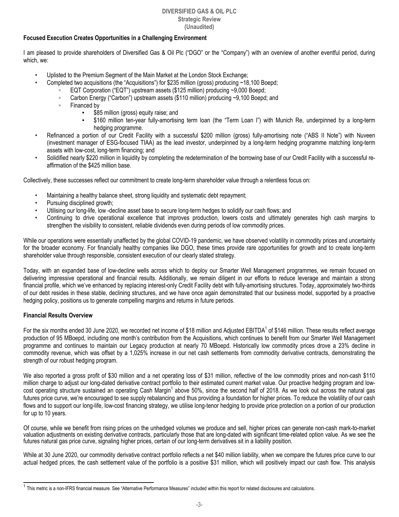# <span id="page-2-0"></span>**Focused Execution Creates Opportunities in a Challenging Environment**

I am pleased to provide shareholders of Diversified Gas & Oil Plc ("DGO" or the "Company") with an overview of another eventful period, during which, we:

- Uplisted to the Premium Segment of the Main Market at the London Stock Exchange;
	- Completed two acquisitions (the "Acquisitions") for \$235 million (gross) producing ~18,100 Boepd;
		- EQT Corporation ("EQT") upstream assets (\$125 million) producing ~9,000 Boepd;
		- Carbon Energy ("Carbon") upstream assets (\$110 million) producing ~9,100 Boepd; and
		- Financed by
			- \$85 million (gross) equity raise; and
			- \$160 million ten-year fully-amortising term loan (the "Term Loan I") with Munich Re, underpinned by a long-term hedging programme.
- Refinanced a portion of our Credit Facility with a successful \$200 million (gross) fully-amortising note ("ABS II Note") with Nuveen (investment manager of ESG-focused TIAA) as the lead investor, underpinned by a long-term hedging programme matching long-term assets with low-cost, long-term financing; and
- Solidified nearly \$220 million in liquidity by completing the redetermination of the borrowing base of our Credit Facility with a successful reaffirmation of the \$425 million base.

Collectively, these successes reflect our commitment to create long-term shareholder value through a relentless focus on:

- Maintaining a healthy balance sheet, strong liquidity and systematic debt repayment;
- Pursuing disciplined growth:
- Utilising our long-life, low -decline asset base to secure long-term hedges to solidify our cash flows; and
- Continuing to drive operational excellence that improves production, lowers costs and ultimately generates high cash margins to strengthen the visibility to consistent, reliable dividends even during periods of low commodity prices.

While our operations were essentially unaffected by the global COVID-19 pandemic, we have observed volatility in commodity prices and uncertainty for the broader economy. For financially healthy companies like DGO, these times provide rare opportunities for growth and to create long-term shareholder value through responsible, consistent execution of our clearly stated strategy.

Today, with an expanded base of low-decline wells across which to deploy our Smarter Well Management programmes, we remain focused on delivering impressive operational and financial results. Additionally, we remain diligent in our efforts to reduce leverage and maintain a strong financial profile, which we've enhanced by replacing interest-only Credit Facility debt with fully-amortising structures. Today, approximately two-thirds of our debt resides in these stable, declining structures, and we have once again demonstrated that our business model, supported by a proactive hedging policy, positions us to generate compelling margins and returns in future periods.

# **Financial Results Overview**

For the six months ended 30 June 2020, we recorded net income of \$18 million and Adjusted EBITDA<sup>1</sup> of \$146 million. These results reflect average production of 95 MBoepd, including one month's contribution from the Acquisitions, which continues to benefit from our Smarter Well Management programme and continues to maintain our Legacy production at nearly 70 MBoepd. Historically low commodity prices drove a 23% decline in commodity revenue, which was offset by a 1,025% increase in our net cash settlements from commodity derivative contracts, demonstrating the strength of our robust hedging program.

We also reported a gross profit of \$30 million and a net operating loss of \$31 million, reflective of the low commodity prices and non-cash \$110 million charge to adjust our long-dated derivative contract portfolio to their estimated current market value. Our proactive hedging program and lowcost operating structure sustained an operating Cash Margin<sup>1</sup> above 50%, since the second half of 2018. As we look out across the natural gas futures price curve, we're encouraged to see supply rebalancing and thus providing a foundation for higher prices. To reduce the volatility of our cash flows and to support our long-life, low-cost financing strategy, we utilise long-tenor hedging to provide price protection on a portion of our production for up to 10 years.

Of course, while we benefit from rising prices on the unhedged volumes we produce and sell, higher prices can generate non-cash mark-to-market valuation adjustments on existing derivative contracts, particularly those that are long-dated with significant time-related option value. As we see the futures natural gas price curve, signaling higher prices, certain of our long-term derivatives sit in a liability position.

While at 30 June 2020, our commodity derivative contract portfolio reflects a net \$40 million liability, when we compare the futures price curve to our actual hedged prices, the cash settlement value of the portfolio is a positive \$31 million, which will positively impact our cash flow. This analysis

<sup>&</sup>lt;sup>1</sup> This metric is a non-IFRS financial measure. See "Alternative Performance Measures" included within this report for related disclosures and calculations.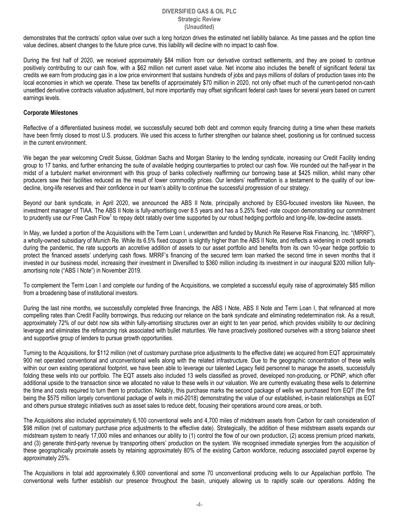demonstrates that the contracts' option value over such a long horizon drives the estimated net liability balance. As time passes and the option time value declines, absent changes to the future price curve, this liability will decline with no impact to cash flow.

During the first half of 2020, we received approximately \$84 million from our derivative contract settlements, and they are poised to continue positively contributing to our cash flow, with a \$62 million net current asset value. Net income also includes the benefit of significant federal tax credits we earn from producing gas in a low price environment that sustains hundreds of jobs and pays millions of dollars of production taxes into the local economies in which we operate. These tax benefits of approximately \$70 million in 2020, not only offset much of the current-period non-cash unsettled derivative contracts valuation adjustment, but more importantly may offset significant federal cash taxes for several years based on current earnings levels.

#### **Corporate Milestones**

Reflective of a differentiated business model, we successfully secured both debt and common equity financing during a time when these markets have been firmly closed to most U.S. producers. We used this access to further strengthen our balance sheet, positioning us for continued success in the current environment.

We began the year welcoming Credit Suisse, Goldman Sachs and Morgan Stanley to the lending syndicate, increasing our Credit Facility lending group to 17 banks, and further enhancing the suite of available hedging counterparties to protect our cash flow. We rounded out the half-year in the midst of a turbulent market environment with this group of banks collectively reaffirming our borrowing base at \$425 million, whilst many other producers saw their facilities reduced as the result of lower commodity prices. Our lenders' reaffirmation is a testament to the quality of our lowdecline, long-life reserves and their confidence in our team's ability to continue the successful progression of our strategy.

Beyond our bank syndicate, in April 2020, we announced the ABS II Note, principally anchored by ESG-focused investors like Nuveen, the investment manager of TIAA. The ABS II Note is fully-amortising over 8.5 years and has a 5.25% fixed -rate coupon demonstrating our commitment to prudently use our Free Cash Flow<sup>1</sup> to repay debt ratably over time supported by our robust hedging portfolio and long-life, low-decline assets.

In May, we funded a portion of the Acquisitions with the Term Loan I, underwritten and funded by Munich Re Reserve Risk Financing, Inc. "(MRRF"), a wholly-owned subsidiary of Munich Re. While its 6.5% fixed coupon is slightly higher than the ABS II Note, and reflects a widening in credit spreads during the pandemic, the rate supports an accretive addition of assets to our asset portfolio and benefits from its own 10-year hedge portfolio to protect the financed assets' underlying cash flows. MRRF's financing of the secured term loan marked the second time in seven months that it invested in our business model, increasing their investment in Diversified to \$360 million including its investment in our inaugural \$200 million fullyamortising note ("ABS I Note") in November 2019.

To complement the Term Loan I and complete our funding of the Acquisitions, we completed a successful equity raise of approximately \$85 million from a broadening base of institutional investors.

During the last nine months, we successfully completed three financings, the ABS I Note, ABS II Note and Term Loan I, that refinanced at more compelling rates than Credit Facility borrowings, thus reducing our reliance on the bank syndicate and eliminating redetermination risk. As a result, approximately 72% of our debt now sits within fully-amortising structures over an eight to ten year period, which provides visibility to our declining leverage and eliminates the refinancing risk associated with bullet maturities. We have proactively positioned ourselves with a strong balance sheet and supportive group of lenders to pursue growth opportunities.

Turning to the Acquisitions, for \$112 million (net of customary purchase price adjustments to the effective date) we acquired from EQT approximately 900 net operated conventional and unconventional wells along with the related infrastructure. Due to the geographic concentration of these wells within our own existing operational footprint, we have been able to leverage our talented Legacy field personnel to manage the assets, successfully folding these wells into our portfolio. The EQT assets also included 13 wells classified as proved, developed non-producing, or PDNP, which offer additional upside to the transaction since we allocated no value to these wells in our valuation. We are currently evaluating these wells to determine the time and costs required to turn them to production. Notably, this purchase marks the second package of wells we purchased from EQT (the first being the \$575 million largely conventional package of wells in mid-2018) demonstrating the value of our established, in-basin relationships as EQT and others pursue strategic initiatives such as asset sales to reduce debt, focusing their operations around core areas, or both.

The Acquisitions also included approximately 6,100 conventional wells and 4,700 miles of midstream assets from Carbon for cash consideration of \$98 million (net of customary purchase price adjustments to the effective date). Strategically, the addition of these midstream assets expands our midstream system to nearly 17,000 miles and enhances our ability to (1) control the flow of our own production, (2) access premium priced markets, and (3) generate third-party revenue by transporting others' production on the system. We recognised immediate synergies from the acquisition of these geographically proximate assets by retaining approximately 80% of the existing Carbon workforce, reducing associated payroll expense by approximately 25%.

The Acquisitions in total add approximately 6,900 conventional and some 70 unconventional producing wells to our Appalachian portfolio. The conventional wells further establish our presence throughout the basin, uniquely allowing us to rapidly scale our operations. Adding the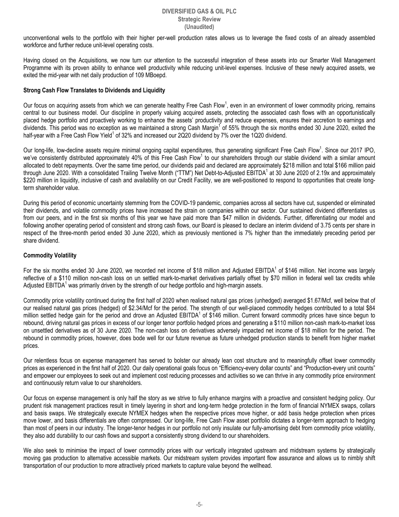unconventional wells to the portfolio with their higher per-well production rates allows us to leverage the fixed costs of an already assembled workforce and further reduce unit-level operating costs.

Having closed on the Acquisitions, we now turn our attention to the successful integration of these assets into our Smarter Well Management Programme with its proven ability to enhance well productivity while reducing unit-level expenses. Inclusive of these newly acquired assets, we exited the mid-year with net daily production of 109 MBoepd.

# **Strong Cash Flow Translates to Dividends and Liquidity**

Our focus on acquiring assets from which we can generate healthy Free Cash Flow<sup>1</sup>, even in an environment of lower commodity pricing, remains central to our business model. Our discipline in properly valuing acquired assets, protecting the associated cash flows with an opportunistically placed hedge portfolio and proactively working to enhance the assets' productivity and reduce expenses, ensures their accretion to earnings and dividends. This period was no exception as we maintained a strong Cash Margin<sup>1</sup> of 55% through the six months ended 30 June 2020, exited the half-year with a Free Cash Flow Yield<sup>1</sup> of 32% and increased our 2Q20 dividend by 7% over the 1Q20 dividend.

Our long-life, low-decline assets require minimal ongoing capital expenditures, thus generating significant Free Cash Flow<sup>1</sup>. Since our 2017 IPO, we've consistently distributed approximately 40% of this Free Cash Flow<sup>1</sup> to our shareholders through our stable dividend with a similar amount allocated to debt repayments. Over the same time period, our dividends paid and declared are approximately \$218 million and total \$166 million paid through June 2020. With a consolidated Trailing Twelve Month ("TTM") Net Debt-to-Adjusted EBITDA<sup>1</sup> at 30 June 2020 of 2.19x and approximately \$220 million in liquidity, inclusive of cash and availability on our Credit Facility, we are well-positioned to respond to opportunities that create longterm shareholder value.

During this period of economic uncertainty stemming from the COVID-19 pandemic, companies across all sectors have cut, suspended or eliminated their dividends, and volatile commodity prices have increased the strain on companies within our sector. Our sustained dividend differentiates us from our peers, and in the first six months of this year we have paid more than \$47 million in dividends. Further, differentiating our model and following another operating period of consistent and strong cash flows, our Board is pleased to declare an interim dividend of 3.75 cents per share in respect of the three-month period ended 30 June 2020, which as previously mentioned is 7% higher than the immediately preceding period per share dividend.

# **Commodity Volatility**

For the six months ended 30 June 2020, we recorded net income of \$18 million and Adjusted EBITDA<sup>1</sup> of \$146 million. Net income was largely reflective of a \$110 million non-cash loss on un settled mark-to-market derivatives partially offset by \$70 million in federal well tax credits while Adjusted EBITDA<sup>1</sup> was primarily driven by the strength of our hedge portfolio and high-margin assets.

Commodity price volatility continued during the first half of 2020 when realised natural gas prices (unhedged) averaged \$1.67/Mcf, well below that of our realised natural gas prices (hedged) of \$2.34/Mcf for the period. The strength of our well-placed commodity hedges contributed to a total \$84 million settled hedge gain for the period and drove an Adjusted EBITDA<sup>1</sup> of \$146 million. Current forward commodity prices have since begun to rebound, driving natural gas prices in excess of our longer tenor portfolio hedged prices and generating a \$110 million non-cash mark-to-market loss on unsettled derivatives as of 30 June 2020. The non-cash loss on derivatives adversely impacted net income of \$18 million for the period. The rebound in commodity prices, however, does bode well for our future revenue as future unhedged production stands to benefit from higher market prices.

Our relentless focus on expense management has served to bolster our already lean cost structure and to meaningfully offset lower commodity prices as experienced in the first half of 2020. Our daily operational goals focus on "Efficiency-every dollar counts" and "Production-every unit counts" and empower our employees to seek out and implement cost reducing processes and activities so we can thrive in any commodity price environment and continuously return value to our shareholders.

Our focus on expense management is only half the story as we strive to fully enhance margins with a proactive and consistent hedging policy. Our prudent risk management practices result in timely layering in short and long-term hedge protection in the form of financial NYMEX swaps, collars and basis swaps. We strategically execute NYMEX hedges when the respective prices move higher, or add basis hedge protection when prices move lower, and basis differentials are often compressed. Our long-life, Free Cash Flow asset portfolio dictates a longer-term approach to hedging than most of peers in our industry. The longer-tenor hedges in our portfolio not only insulate our fully-amortising debt from commodity price volatility, they also add durability to our cash flows and support a consistently strong dividend to our shareholders.

We also seek to minimise the impact of lower commodity prices with our vertically integrated upstream and midstream systems by strategically moving gas production to alternative accessible markets. Our midstream system provides important flow assurance and allows us to nimbly shift transportation of our production to more attractively priced markets to capture value beyond the wellhead.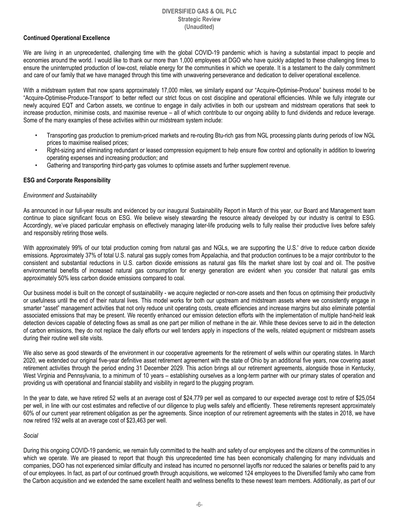# **Continued Operational Excellence**

We are living in an unprecedented, challenging time with the global COVID-19 pandemic which is having a substantial impact to people and economies around the world. I would like to thank our more than 1,000 employees at DGO who have quickly adapted to these challenging times to ensure the uninterrupted production of low-cost, reliable energy for the communities in which we operate. It is a testament to the daily commitment and care of our family that we have managed through this time with unwavering perseverance and dedication to deliver operational excellence.

With a midstream system that now spans approximately 17,000 miles, we similarly expand our "Acquire-Optimise-Produce" business model to be "Acquire-Optimise-Produce-Transport' to better reflect our strict focus on cost discipline and operational efficiencies. While we fully integrate our newly acquired EQT and Carbon assets, we continue to engage in daily activities in both our upstream and midstream operations that seek to increase production, minimise costs, and maximise revenue – all of which contribute to our ongoing ability to fund dividends and reduce leverage. Some of the many examples of these activities within our midstream system include:

- Transporting gas production to premium-priced markets and re-routing Btu-rich gas from NGL processing plants during periods of low NGL prices to maximise realised prices;
- Right-sizing and eliminating redundant or leased compression equipment to help ensure flow control and optionality in addition to lowering operating expenses and increasing production; and
- Gathering and transporting third-party gas volumes to optimise assets and further supplement revenue.

# **ESG and Corporate Responsibility**

# *Environment and Sustainability*

As announced in our full-year results and evidenced by our inaugural Sustainability Report in March of this year, our Board and Management team continue to place significant focus on ESG. We believe wisely stewarding the resource already developed by our industry is central to ESG. Accordingly, we've placed particular emphasis on effectively managing later-life producing wells to fully realise their productive lives before safely and responsibly retiring those wells.

With approximately 99% of our total production coming from natural gas and NGLs, we are supporting the U.S.' drive to reduce carbon dioxide emissions. Approximately 37% of total U.S. natural gas supply comes from Appalachia, and that production continues to be a major contributor to the consistent and substantial reductions in U.S. carbon dioxide emissions as natural gas fills the market share lost by coal and oil. The positive environmental benefits of increased natural gas consumption for energy generation are evident when you consider that natural gas emits approximately 50% less carbon dioxide emissions compared to coal.

Our business model is built on the concept of sustainability - we acquire neglected or non-core assets and then focus on optimising their productivity or usefulness until the end of their natural lives. This model works for both our upstream and midstream assets where we consistently engage in smarter "asset" management activities that not only reduce unit operating costs, create efficiencies and increase margins but also eliminate potential associated emissions that may be present. We recently enhanced our emission detection efforts with the implementation of multiple hand-held leak detection devices capable of detecting flows as small as one part per million of methane in the air. While these devices serve to aid in the detection of carbon emissions, they do not replace the daily efforts our well tenders apply in inspections of the wells, related equipment or midstream assets during their routine well site visits.

We also serve as good stewards of the environment in our cooperative agreements for the retirement of wells within our operating states. In March 2020, we extended our original five-year definitive asset retirement agreement with the state of Ohio by an additional five years, now covering asset retirement activities through the period ending 31 December 2029. This action brings all our retirement agreements, alongside those in Kentucky, West Virginia and Pennsylvania, to a minimum of 10 years – establishing ourselves as a long-term partner with our primary states of operation and providing us with operational and financial stability and visibility in regard to the plugging program.

In the year to date, we have retired 52 wells at an average cost of \$24,779 per well as compared to our expected average cost to retire of \$25,054 per well, in line with our cost estimates and reflective of our diligence to plug wells safely and efficiently. These retirements represent approximately 60% of our current year retirement obligation as per the agreements. Since inception of our retirement agreements with the states in 2018, we have now retired 192 wells at an average cost of \$23,463 per well.

# *Social*

During this ongoing COVID-19 pandemic, we remain fully committed to the health and safety of our employees and the citizens of the communities in which we operate. We are pleased to report that though this unprecedented time has been economically challenging for many individuals and companies, DGO has not experienced similar difficulty and instead has incurred no personnel layoffs nor reduced the salaries or benefits paid to any of our employees. In fact, as part of our continued growth through acquisitions, we welcomed 124 employees to the Diversified family who came from the Carbon acquisition and we extended the same excellent health and wellness benefits to these newest team members. Additionally, as part of our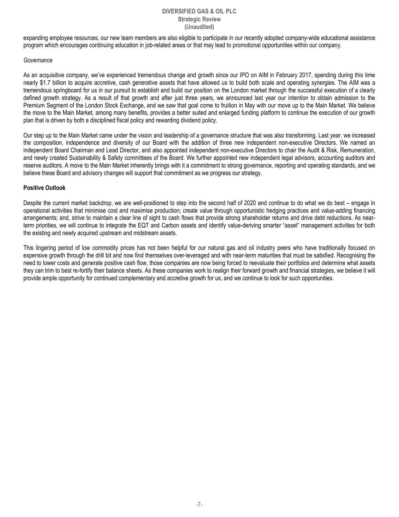expanding employee resources, our new team members are also eligible to participate in our recently adopted company-wide educational assistance program which encourages continuing education in job-related areas or that may lead to promotional opportunities within our company.

#### *Governance*

As an acquisitive company, we've experienced tremendous change and growth since our IPO on AIM in February 2017, spending during this time nearly \$1.7 billion to acquire accretive, cash generative assets that have allowed us to build both scale and operating synergies. The AIM was a tremendous springboard for us in our pursuit to establish and build our position on the London market through the successful execution of a clearly defined growth strategy. As a result of that growth and after just three years, we announced last year our intention to obtain admission to the Premium Segment of the London Stock Exchange, and we saw that goal come to fruition in May with our move up to the Main Market. We believe the move to the Main Market, among many benefits, provides a better suited and enlarged funding platform to continue the execution of our growth plan that is driven by both a disciplined fiscal policy and rewarding dividend policy.

Our step up to the Main Market came under the vision and leadership of a governance structure that was also transforming. Last year, we increased the composition, independence and diversity of our Board with the addition of three new independent non-executive Directors. We named an independent Board Chairman and Lead Director, and also appointed independent non-executive Directors to chair the Audit & Risk, Remuneration, and newly created Sustainability & Safety committees of the Board. We further appointed new independent legal advisors, accounting auditors and reserve auditors. A move to the Main Market inherently brings with it a commitment to strong governance, reporting and operating standards, and we believe these Board and advisory changes will support that commitment as we progress our strategy.

# **Positive Outlook**

Despite the current market backdrop, we are well-positioned to step into the second half of 2020 and continue to do what we do best – engage in operational activities that minimise cost and maximise production; create value through opportunistic hedging practices and value-adding financing arrangements; and, strive to maintain a clear line of sight to cash flows that provide strong shareholder returns and drive debt reductions. As nearterm priorities, we will continue to integrate the EQT and Carbon assets and identify value-deriving smarter "asset" management activities for both the existing and newly acquired upstream and midstream assets.

This lingering period of low commodity prices has not been helpful for our natural gas and oil industry peers who have traditionally focused on expensive growth through the drill bit and now find themselves over-leveraged and with near-term maturities that must be satisfied. Recognising the need to lower costs and generate positive cash flow, those companies are now being forced to reevaluate their portfolios and determine what assets they can trim to best re-fortify their balance sheets. As these companies work to realign their forward growth and financial strategies, we believe it will provide ample opportunity for continued complementary and accretive growth for us, and we continue to look for such opportunities.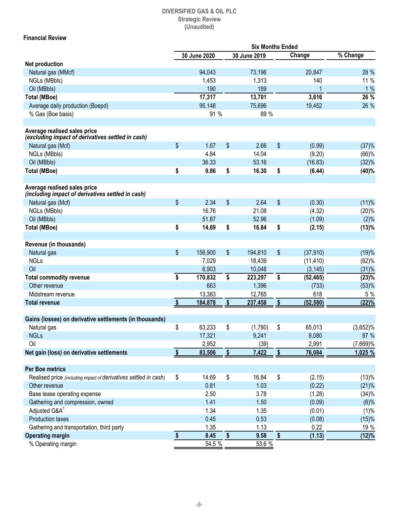<span id="page-7-0"></span>**Financial Review**

|                                                                                   |                         | <b>Six Months Ended</b> |                         |              |                 |           |             |
|-----------------------------------------------------------------------------------|-------------------------|-------------------------|-------------------------|--------------|-----------------|-----------|-------------|
|                                                                                   |                         | 30 June 2020            |                         | 30 June 2019 |                 | Change    | % Change    |
| <b>Net production</b>                                                             |                         |                         |                         |              |                 |           |             |
| Natural gas (MMcf)                                                                |                         | 94,043                  |                         | 73,196       |                 | 20,847    | 28 %        |
| NGLs (MBbls)                                                                      |                         | 1,453                   |                         | 1,313        |                 | 140       | 11 %        |
| Oil (MBbls)                                                                       |                         | 190                     |                         | 189          |                 | 1         | 1%          |
| Total (MBoe)                                                                      |                         | 17,317                  |                         | 13,701       |                 | 3,616     | 26 %        |
| Average daily production (Boepd)                                                  |                         | 95,148                  |                         | 75,696       |                 | 19,452    | 26 %        |
| % Gas (Boe basis)                                                                 |                         | 91 %                    |                         | 89 %         |                 |           |             |
| Average realised sales price<br>(excluding impact of derivatives settled in cash) |                         |                         |                         |              |                 |           |             |
| Natural gas (Mcf)                                                                 | \$                      | 1.67                    | \$                      | 2.66         | \$              | (0.99)    | (37)%       |
| NGLs (MBbls)                                                                      |                         | 4.84                    |                         | 14.04        |                 | (9.20)    | $(66)$ %    |
| Oil (MBbls)                                                                       |                         | 36.33                   |                         | 53.16        |                 | (16.83)   | (32)%       |
| <b>Total (MBoe)</b>                                                               | \$                      | 9.86                    | \$                      | 16.30        | \$              | (6.44)    | (40)%       |
| Average realised sales price                                                      |                         |                         |                         |              |                 |           |             |
| (including impact of derivatives settled in cash)                                 |                         |                         |                         |              |                 |           |             |
| Natural gas (Mcf)                                                                 | \$                      | 2.34                    | \$                      | 2.64         | \$              | (0.30)    | (11)%       |
| NGLs (MBbls)                                                                      |                         | 16.76                   |                         | 21.08        |                 | (4.32)    | (20)%       |
| Oil (MBbls)                                                                       |                         | 51.87                   |                         | 52.96        |                 | (1.09)    | (2)%        |
| <b>Total (MBoe)</b>                                                               | \$                      | 14.69                   | \$                      | 16.84        | \$              | (2.15)    | (13)%       |
|                                                                                   |                         |                         |                         |              |                 |           |             |
| Revenue (in thousands)                                                            |                         |                         |                         |              |                 |           |             |
| Natural gas                                                                       | \$                      | 156,900                 | \$                      | 194,810      | \$              | (37, 910) | (19)%       |
| <b>NGLs</b>                                                                       |                         | 7,029                   |                         | 18,439       |                 | (11, 410) | (62)%       |
| Oil                                                                               |                         | 6,903                   |                         | 10,048       |                 | (3, 145)  | (31)%       |
| <b>Total commodity revenue</b>                                                    | \$                      | 170,832                 | \$                      | 223,297      | \$              | (52, 465) | (23)%       |
| Other revenue                                                                     |                         | 663                     |                         | 1,396        |                 | (733)     | (53)%       |
| Midstream revenue                                                                 |                         | 13,383                  |                         | 12,765       |                 | 618       | 5 %         |
| <b>Total revenue</b>                                                              | \$                      | 184,878                 | \$                      | 237,458      | \$              | (52, 580) | (22)%       |
| Gains (losses) on derivative settlements (in thousands)                           |                         |                         |                         |              |                 |           |             |
| Natural gas                                                                       | \$                      | 63,233                  | \$                      | (1,780)      | \$              | 65,013    | $(3,652)\%$ |
| <b>NGLs</b>                                                                       |                         | 17,321                  |                         | 9,241        |                 | 8,080     | 87 %        |
| Oil                                                                               |                         | 2,952                   |                         | (39)         |                 | 2,991     | $(7,669)$ % |
| Net gain (loss) on derivative settlements                                         | $\sqrt[6]{\frac{1}{2}}$ | 83,506                  | $\sqrt[6]{\frac{1}{2}}$ | 7,422        | $\frac{1}{2}$   | 76,084    | 1,025 %     |
| Per Boe metrics                                                                   |                         |                         |                         |              |                 |           |             |
| Realised price (including impact of derivatives settled in cash)                  | \$                      | 14.69                   | \$                      | 16.84        | \$              | (2.15)    | (13)%       |
| Other revenue                                                                     |                         | 0.81                    |                         | 1.03         |                 | (0.22)    | (21)%       |
| Base lease operating expense                                                      |                         | 2.50                    |                         | 3.78         |                 | (1.28)    | (34)%       |
| Gathering and compression, owned                                                  |                         | 1.41                    |                         | 1.50         |                 |           |             |
| Adjusted G&A <sup>1</sup>                                                         |                         | 1.34                    |                         | 1.35         |                 | (0.09)    | (6)%        |
|                                                                                   |                         |                         |                         |              |                 | (0.01)    | (1)%        |
| Production taxes                                                                  |                         | 0.45                    |                         | 0.53         |                 | (0.08)    | (15)%       |
| Gathering and transportation, third party                                         |                         | 1.35                    |                         | 1.13         |                 | 0.22      | 19 %        |
| <b>Operating margin</b>                                                           | \$                      | 8.45                    | $\sqrt[6]{\frac{1}{2}}$ | 9.58         | $\overline{\$}$ | (1.13)    | (12)%       |
| % Operating margin                                                                |                         | 54.5 %                  |                         | 53.6 %       |                 |           |             |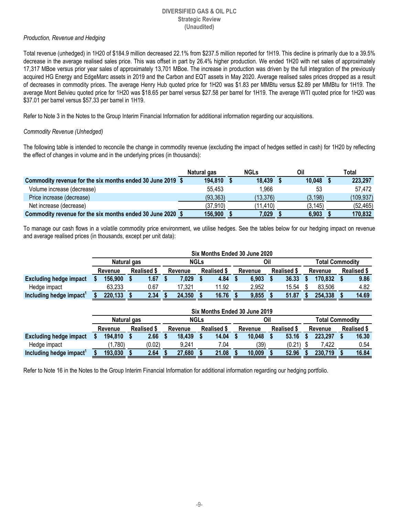# *Production, Revenue and Hedging*

Total revenue (unhedged) in 1H20 of \$184.9 million decreased 22.1% from \$237.5 million reported for 1H19. This decline is primarily due to a 39.5% decrease in the average realised sales price. This was offset in part by 26.4% higher production. We ended 1H20 with net sales of approximately 17,317 MBoe versus prior year sales of approximately 13,701 MBoe. The increase in production was driven by the full integration of the previously acquired HG Energy and EdgeMarc assets in 2019 and the Carbon and EQT assets in May 2020. Average realised sales prices dropped as a result of decreases in commodity prices. The average Henry Hub quoted price for 1H20 was \$1.83 per MMBtu versus \$2.89 per MMBtu for 1H19. The average Mont Belvieu quoted price for 1H20 was \$18.65 per barrel versus \$27.58 per barrel for 1H19. The average WTI quoted price for 1H20 was \$37.01 per barrel versus \$57.33 per barrel in 1H19.

Refer to Note 3 in the [Notes to the Group Interim Financial Information](#page-22-0) for additional information regarding our acquisitions.

# *Commodity Revenue (Unhedged)*

The following table is intended to reconcile the change in commodity revenue (excluding the impact of hedges settled in cash) for 1H20 by reflecting the effect of changes in volume and in the underlying prices (in thousands):

|                                                            | Natural gas | <b>NGLs</b> | Oil      | Total      |
|------------------------------------------------------------|-------------|-------------|----------|------------|
| Commodity revenue for the six months ended 30 June 2019 \$ | 194.810     | 18,439      | 10,048   | 223,297    |
| Volume increase (decrease)                                 | 55.453      | 1,966       | 53       | 57.472     |
| Price increase (decrease)                                  | (93, 363)   | (13, 376)   | (3, 198) | (109, 937) |
| Net increase (decrease)                                    | (37,910)    | (11.410)    | (3, 145) | (52, 465)  |
| Commodity revenue for the six months ended 30 June 2020 \$ | 156,900     | 7,029       | 6,903    | 170,832    |

To manage our cash flows in a volatile commodity price environment, we utilise hedges. See the tables below for our hedging impact on revenue and average realised prices (in thousands, except per unit data):

|                                     | Six Months Ended 30 June 2020 |  |                    |  |                               |  |       |         |       |                    |       |                        |                    |  |       |
|-------------------------------------|-------------------------------|--|--------------------|--|-------------------------------|--|-------|---------|-------|--------------------|-------|------------------------|--------------------|--|-------|
|                                     | Natural gas                   |  |                    |  | <b>NGLs</b>                   |  |       |         |       | Oil                |       | <b>Total Commodity</b> |                    |  |       |
|                                     | Revenue                       |  | <b>Realised \$</b> |  | <b>Realised \$</b><br>Revenue |  |       | Revenue |       | <b>Realised \$</b> |       | Revenue                | <b>Realised \$</b> |  |       |
| <b>Excluding hedge impact</b>       | 156,900                       |  | 1.67               |  | 7,029                         |  | 4.84  |         | 6,903 |                    | 36.33 |                        | 170,832            |  | 9.86  |
| Hedge impact                        | 63,233                        |  | 0.67               |  | 17,321                        |  | 11.92 |         | 2.952 |                    | 15.54 |                        | 83.506             |  | 4.82  |
| Including hedge impact <sup>1</sup> | 220,133                       |  | 2.34               |  | 24,350                        |  | 16.76 |         | 9,855 |                    | 51.87 |                        | 254,338            |  | 14.69 |

|                                     | Six Months Ended 30 June 2019 |  |                    |             |         |  |                    |  |         |  |                    |  |                        |  |                    |
|-------------------------------------|-------------------------------|--|--------------------|-------------|---------|--|--------------------|--|---------|--|--------------------|--|------------------------|--|--------------------|
|                                     | Natural gas                   |  |                    | <b>NGLs</b> |         |  |                    |  | Oil     |  |                    |  | <b>Total Commodity</b> |  |                    |
|                                     | Revenue                       |  | <b>Realised \$</b> |             | Revenue |  | <b>Realised \$</b> |  | Revenue |  | <b>Realised \$</b> |  | Revenue                |  | <b>Realised \$</b> |
| <b>Excluding hedge impact</b>       | 194,810                       |  | 2.66               |             | 18.439  |  | 14.04              |  | 10,048  |  | 53.16              |  | 223.297                |  | 16.30              |
| Hedge impact                        | (1,780)                       |  | (0.02)             |             | 9.241   |  | 7.04               |  | (39)    |  | (0.21)             |  | 7.422                  |  | 0.54               |
| Including hedge impact <sup>1</sup> | 193,030                       |  | 2.64               |             | 27,680  |  | 21.08              |  | 10,009  |  | 52.96              |  | 230,719                |  | 16.84              |

Refer to Note 16 in the Notes to the Group Interim Financial Information for additional information regarding our hedging portfolio.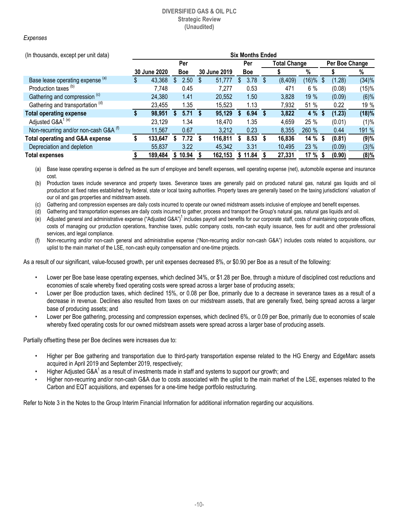*Expenses*

| (In thousands, except per unit data)       | <b>Six Months Ended</b> |              |    |            |      |              |                     |                |    |         |            |  |        |       |
|--------------------------------------------|-------------------------|--------------|----|------------|------|--------------|---------------------|----------------|----|---------|------------|--|--------|-------|
|                                            |                         | Per          |    |            | Per  |              | <b>Total Change</b> | Per Boe Change |    |         |            |  |        |       |
|                                            |                         | 30 June 2020 |    | <b>Boe</b> |      | 30 June 2019 |                     | Boe            |    |         | %          |  |        | %     |
| Base lease operating expense (a)           |                         | 43,368       | \$ | 2.50       | S    | 51.777       | \$.                 | 3.78           | \$ | (8,409) | (16)%      |  | (1.28) | (34)% |
| Production taxes <sup>(b)</sup>            |                         | 7,748        |    | 0.45       |      | 7,277        |                     | 0.53           |    | 471     | $6\%$      |  | (0.08) | (15)% |
| Gathering and compression <sup>(c)</sup>   |                         | 24,380       |    | 1.41       |      | 20,552       |                     | 1.50           |    | 3,828   | 19 %       |  | (0.09) | (6)%  |
| Gathering and transportation (d)           |                         | 23,455       |    | 1.35       |      | 15,523       |                     | 1.13           |    | 7,932   | 51 %       |  | 0.22   | 19 %  |
| <b>Total operating expense</b>             |                         | 98,951       |    | 5.71       | - \$ | 95,129       | S                   | 6.94           | S  | 3,822   | 4 %        |  | (1.23) | (18)% |
| Adjusted G&A <sup>1 (e)</sup>              |                         | 23,129       |    | 1.34       |      | 18,470       |                     | 1.35           |    | 4,659   | 25 %       |  | (0.01) | (1)%  |
| Non-recurring and/or non-cash G&A (1)      |                         | 11,567       |    | 0.67       |      | 3,212        |                     | 0.23           |    | 8,355   | 260 %      |  | 0.44   | 191 % |
| <b>Total operating and G&amp;A expense</b> | S                       | 133,647      | S  | 7.72       | - \$ | 116,811      | S                   | 8.53           | S  | 16,836  | $14 \%$ \$ |  | (0.81) | (9)%  |
| Depreciation and depletion                 |                         | 55,837       |    | 3.22       |      | 45,342       |                     | 3.31           |    | 10,495  | 23 %       |  | (0.09) | (3)%  |
| <b>Total expenses</b>                      |                         | 189,484      |    | \$10.94    |      | 162,153      |                     | \$11.84        |    | 27,331  | 17 %       |  | (0.90) | (8)%  |

(a) Base lease operating expense is defined as the sum of employee and benefit expenses, well operating expense (net), automobile expense and insurance cost.

(b) Production taxes include severance and property taxes. Severance taxes are generally paid on produced natural gas, natural gas liquids and oil production at fixed rates established by federal, state or local taxing authorities. Property taxes are generally based on the taxing jurisdictions' valuation of our oil and gas properties and midstream assets.

(c) Gathering and compression expenses are daily costs incurred to operate our owned midstream assets inclusive of employee and benefit expenses.

(d) Gathering and transportation expenses are daily costs incurred to gather, process and transport the Group's natural gas, natural gas liquids and oil.

(e) Adjusted general and administrative expense ("Adjusted G&A")<sup>1</sup> includes payroll and benefits for our corporate staff, costs of maintaining corporate offices, costs of managing our production operations, franchise taxes, public company costs, non-cash equity issuance, fees for audit and other professional services, and legal compliance.

(f) Non-recurring and/or non-cash general and administrative expense ("Non-recurring and/or non-cash G&A") includes costs related to acquisitions, our uplist to the main market of the LSE, non-cash equity compensation and one-time projects.

As a result of our significant, value-focused growth, per unit expenses decreased 8%, or \$0.90 per Boe as a result of the following:

- Lower per Boe base lease operating expenses, which declined 34%, or \$1.28 per Boe, through a mixture of disciplined cost reductions and economies of scale whereby fixed operating costs were spread across a larger base of producing assets;
- Lower per Boe production taxes, which declined 15%, or 0.08 per Boe, primarily due to a decrease in severance taxes as a result of a decrease in revenue. Declines also resulted from taxes on our midstream assets, that are generally fixed, being spread across a larger base of producing assets; and
- Lower per Boe gathering, processing and compression expenses, which declined 6%, or 0.09 per Boe, primarily due to economies of scale whereby fixed operating costs for our owned midstream assets were spread across a larger base of producing assets.

Partially offsetting these per Boe declines were increases due to:

- Higher per Boe gathering and transportation due to third-party transportation expense related to the HG Energy and EdgeMarc assets acquired in April 2019 and September 2019, respectively;
- Higher Adjusted G&A<sup>1</sup> as a result of investments made in staff and systems to support our growth; and
- Higher non-recurring and/or non-cash G&A due to costs associated with the uplist to the main market of the LSE, expenses related to the Carbon and EQT acquisitions, and expenses for a one-time hedge portfolio restructuring.

Refer to Note 3 in the Notes to the Group Interim Financial Information for additional information regarding our acquisitions.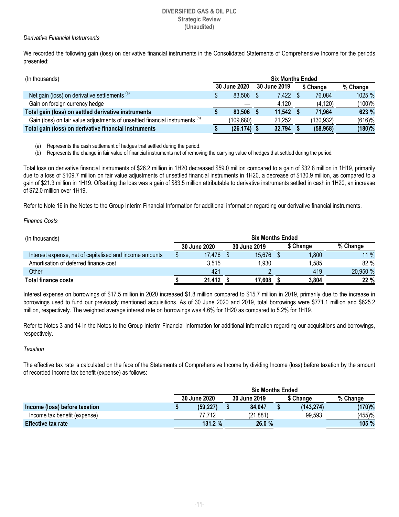# *Derivative Financial Instruments*

We recorded the following gain (loss) on derivative financial instruments in the Consolidated Statements of Comprehensive Income for the periods presented:

| (In thousands)                                                                          | <b>Six Months Ended</b> |                |  |              |  |           |           |  |  |  |  |
|-----------------------------------------------------------------------------------------|-------------------------|----------------|--|--------------|--|-----------|-----------|--|--|--|--|
|                                                                                         |                         | 30 June 2020   |  | 30 June 2019 |  | \$ Change | % Change  |  |  |  |  |
| Net gain (loss) on derivative settlements (a)                                           |                         | 83.506         |  | 7,422        |  | 76.084    | 1025 %    |  |  |  |  |
| Gain on foreign currency hedge                                                          |                         |                |  | 4,120        |  | (4, 120)  | $(100)$ % |  |  |  |  |
| Total gain (loss) on settled derivative instruments                                     |                         | 83.506         |  | 11,542       |  | 71.964    | 623 %     |  |  |  |  |
| Gain (loss) on fair value adjustments of unsettled financial instruments <sup>(b)</sup> |                         | (109,680)      |  | 21,252       |  | (130,932) | (616)%    |  |  |  |  |
| Total gain (loss) on derivative financial instruments                                   |                         | $(26, 174)$ \$ |  | 32,794       |  | (58, 968) | $(180)$ % |  |  |  |  |

(a) Represents the cash settlement of hedges that settled during the period.

(b) Represents the change in fair value of financial instruments net of removing the carrying value of hedges that settled during the period.

Total loss on derivative financial instruments of \$26.2 million in 1H20 decreased \$59.0 million compared to a gain of \$32.8 million in 1H19, primarily due to a loss of \$109.7 million on fair value adjustments of unsettled financial instruments in 1H20, a decrease of \$130.9 million, as compared to a gain of \$21.3 million in 1H19. Offsetting the loss was a gain of \$83.5 million attributable to derivative instruments settled in cash in 1H20, an increase of \$72.0 million over 1H19.

Refer to Note 16 in the Notes to the Group Interim Financial Information for additional information regarding our derivative financial instruments.

*Finance Costs*

| (In thousands)                                          | <b>Six Months Ended</b> |              |  |              |  |           |          |  |  |  |
|---------------------------------------------------------|-------------------------|--------------|--|--------------|--|-----------|----------|--|--|--|
|                                                         |                         | 30 June 2020 |  | 30 June 2019 |  | \$ Change | % Change |  |  |  |
| Interest expense, net of capitalised and income amounts |                         | 17.476       |  | 15,676       |  | 1,800     | 11%      |  |  |  |
| Amortisation of deferred finance cost                   |                         | 3.515        |  | 1.930        |  | 1,585     | 82 %     |  |  |  |
| Other                                                   |                         | 421          |  |              |  | 419       | 20,950 % |  |  |  |
| <b>Total finance costs</b>                              |                         | 21,412       |  | 17,608       |  | 3,804     | 22%      |  |  |  |

Interest expense on borrowings of \$17.5 million in 2020 increased \$1.8 million compared to \$15.7 million in 2019, primarily due to the increase in borrowings used to fund our previously mentioned acquisitions. As of 30 June 2020 and 2019, total borrowings were \$771.1 million and \$625.2 million, respectively. The weighted average interest rate on borrowings was 4.6% for 1H20 as compared to 5.2% for 1H19.

Refer to Notes 3 and 14 in the Notes to the Group Interim Financial Information for additional information regarding our acquisitions and borrowings, respectively.

# *Taxation*

The effective tax rate is calculated on the face of the Statements of Comprehensive Income by dividing Income (loss) before taxation by the amount of recorded Income tax benefit (expense) as follows:

|                               | <b>Six Months Ended</b> |  |              |  |            |          |  |  |  |  |  |  |
|-------------------------------|-------------------------|--|--------------|--|------------|----------|--|--|--|--|--|--|
|                               | 30 June 2020            |  | 30 June 2019 |  | Change     | % Change |  |  |  |  |  |  |
| Income (loss) before taxation | (59, 227)               |  | 84.047       |  | (143, 274) | (170)%   |  |  |  |  |  |  |
| Income tax benefit (expense)  | 77.712                  |  | (21, 881)    |  | 99,593     | (455)%   |  |  |  |  |  |  |
| <b>Effective tax rate</b>     | 131.2%                  |  | 26.0 %       |  |            | 105%     |  |  |  |  |  |  |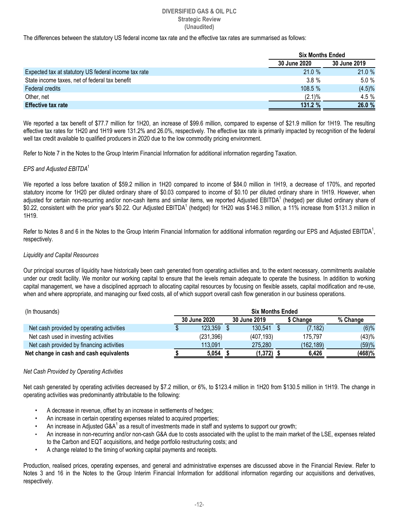The differences between the statutory US federal income tax rate and the effective tax rates are summarised as follows:

|                                                      | <b>Six Months Ended</b> |              |
|------------------------------------------------------|-------------------------|--------------|
|                                                      | <b>30 June 2020</b>     | 30 June 2019 |
| Expected tax at statutory US federal income tax rate | 21.0%                   | 21.0 %       |
| State income taxes, net of federal tax benefit       | $3.8\%$                 | 5.0%         |
| Federal credits                                      | 108.5%                  | $(4.5)\%$    |
| Other, net                                           | $(2.1)\%$               | 4.5%         |
| <b>Effective tax rate</b>                            | 131.2%                  | 26.0 %       |

We reported a tax benefit of \$77.7 million for 1H20, an increase of \$99.6 million, compared to expense of \$21.9 million for 1H19. The resulting effective tax rates for 1H20 and 1H19 were 131.2% and 26.0%, respectively. The effective tax rate is primarily impacted by recognition of the federal well tax credit available to qualified producers in 2020 due to the low commodity pricing environment.

Refer to Note 7 in the Notes to the Group Interim Financial Information for additional information regarding Taxation.

# *EPS and Adjusted EBITDA*<sup>1</sup>

We reported a loss before taxation of \$59.2 million in 1H20 compared to income of \$84.0 million in 1H19, a decrease of 170%, and reported statutory income for 1H20 per diluted ordinary share of \$0.03 compared to income of \$0.10 per diluted ordinary share in 1H19. However, when adjusted for certain non-recurring and/or non-cash items and similar items, we reported Adjusted EBITDA<sup>1</sup> (hedged) per diluted ordinary share of \$0.22, consistent with the prior year's \$0.22. Our Adjusted EBITDA<sup>1</sup> (hedged) for 1H20 was \$146.3 million, a 11% increase from \$131.3 million in 1H19.

Refer to Notes 8 and 6 in the Notes to the Group Interim Financial Information for additional information regarding our EPS and Adjusted EBITDA<sup>1</sup>, respectively.

# *Liquidity and Capital Resources*

Our principal sources of liquidity have historically been cash generated from operating activities and, to the extent necessary, commitments available under our credit facility. We monitor our working capital to ensure that the levels remain adequate to operate the business. In addition to working capital management, we have a disciplined approach to allocating capital resources by focusing on flexible assets, capital modification and re-use, when and where appropriate, and managing our fixed costs, all of which support overall cash flow generation in our business operations.

| (In thousands)                            | <b>Six Months Ended</b> |              |  |              |  |            |          |  |  |
|-------------------------------------------|-------------------------|--------------|--|--------------|--|------------|----------|--|--|
|                                           |                         | 30 June 2020 |  | 30 June 2019 |  | \$ Change  | % Change |  |  |
| Net cash provided by operating activities |                         | 123,359      |  | 130,541      |  | (7, 182)   | (6)%     |  |  |
| Net cash used in investing activities     |                         | (231, 396)   |  | (407, 193)   |  | 175.797    | (43)%    |  |  |
| Net cash provided by financing activities |                         | 113,091      |  | 275,280      |  | (162, 189) | (59)%    |  |  |
| Net change in cash and cash equivalents   |                         | 5,054        |  | (1,372)      |  | 6,426      | (468)%   |  |  |

# *Net Cash Provided by Operating Activities*

Net cash generated by operating activities decreased by \$7.2 million, or 6%, to \$123.4 million in 1H20 from \$130.5 million in 1H19. The change in operating activities was predominantly attributable to the following:

- A decrease in revenue, offset by an increase in settlements of hedges:
- An increase in certain operating expenses related to acquired properties;
- An increase in Adjusted G&A<sup>1</sup> as a result of investments made in staff and systems to support our growth;
- An increase in non-recurring and/or non-cash G&A due to costs associated with the uplist to the main market of the LSE, expenses related to the Carbon and EQT acquisitions, and hedge portfolio restructuring costs; and
- A change related to the timing of working capital payments and receipts.

Production, realised prices, operating expenses, and general and administrative expenses are discussed above in the Financial Review. Refer to Notes 3 and 16 in the Notes to the Group Interim Financial Information for additional information regarding our acquisitions and derivatives, respectively.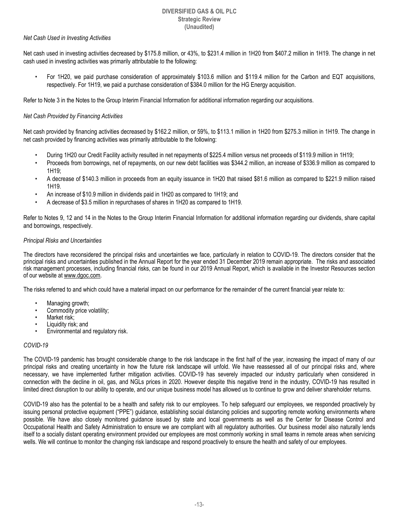# *Net Cash Used in Investing Activities*

Net cash used in investing activities decreased by \$175.8 million, or 43%, to \$231.4 million in 1H20 from \$407.2 million in 1H19. The change in net cash used in investing activities was primarily attributable to the following:

• For 1H20, we paid purchase consideration of approximately \$103.6 million and \$119.4 million for the Carbon and EQT acquisitions, respectively. For 1H19, we paid a purchase consideration of \$384.0 million for the HG Energy acquisition.

Refer to Note 3 in the Notes to the Group Interim Financial Information for additional information regarding our acquisitions.

# *Net Cash Provided by Financing Activities*

Net cash provided by financing activities decreased by \$162.2 million, or 59%, to \$113.1 million in 1H20 from \$275.3 million in 1H19. The change in net cash provided by financing activities was primarily attributable to the following:

- During 1H20 our Credit Facility activity resulted in net repayments of \$225.4 million versus net proceeds of \$119.9 million in 1H19;
- Proceeds from borrowings, net of repayments, on our new debt facilities was \$344.2 million, an increase of \$336.9 million as compared to 1H19;
- A decrease of \$140.3 million in proceeds from an equity issuance in 1H20 that raised \$81.6 million as compared to \$221.9 million raised 1H19.
- An increase of \$10.9 million in dividends paid in 1H20 as compared to 1H19; and
- A decrease of \$3.5 million in repurchases of shares in 1H20 as compared to 1H19.

Refer to Notes 9, 12 and 14 in the Notes to the Group Interim Financial Information for additional information regarding our dividends, share capital and borrowings, respectively.

# *Principal Risks and Uncertainties*

The directors have reconsidered the principal risks and uncertainties we face, particularly in relation to COVID-19. The directors consider that the principal risks and uncertainties published in the Annual Report for the year ended 31 December 2019 remain appropriate. The risks and associated risk management processes, including financial risks, can be found in our 2019 Annual Report, which is available in the Investor Resources section of our website at [www.dgoc.com.](https://www.dgoc.com/)

The risks referred to and which could have a material impact on our performance for the remainder of the current financial year relate to:

- Managing growth;
- Commodity price volatility;
- Market risk:
- Liquidity risk; and
- Environmental and regulatory risk.

# *COVID-19*

The COVID-19 pandemic has brought considerable change to the risk landscape in the first half of the year, increasing the impact of many of our principal risks and creating uncertainty in how the future risk landscape will unfold. We have reassessed all of our principal risks and, where necessary, we have implemented further mitigation activities. COVID-19 has severely impacted our industry particularly when considered in connection with the decline in oil, gas, and NGLs prices in 2020. However despite this negative trend in the industry, COVID-19 has resulted in limited direct disruption to our ability to operate, and our unique business model has allowed us to continue to grow and deliver shareholder returns.

COVID-19 also has the potential to be a health and safety risk to our employees. To help safeguard our employees, we responded proactively by issuing personal protective equipment ("PPE") guidance, establishing social distancing policies and supporting remote working environments where possible. We have also closely monitored guidance issued by state and local governments as well as the Center for Disease Control and Occupational Health and Safety Administration to ensure we are compliant with all regulatory authorities. Our business model also naturally lends itself to a socially distant operating environment provided our employees are most commonly working in small teams in remote areas when servicing wells. We will continue to monitor the changing risk landscape and respond proactively to ensure the health and safety of our employees.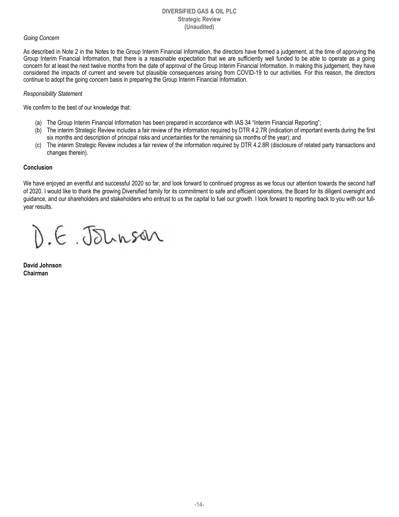# *Going Concern*

As described in Note 2 in the Notes to the Group Interim Financial Information, the directors have formed a judgement, at the time of approving the Group Interim Financial Information, that there is a reasonable expectation that we are sufficiently well funded to be able to operate as a going concern for at least the next twelve months from the date of approval of the Group Interim Financial Information. In making this judgement, they have considered the impacts of current and severe but plausible consequences arising from COVID-19 to our activities. For this reason, the directors continue to adopt the going concern basis in preparing the Group Interim Financial Information.

#### *Responsibility Statement*

We confirm to the best of our knowledge that:

- (a) The Group Interim Financial Information has been prepared in accordance with IAS 34 "Interim Financial Reporting";
- (b) The interim Strategic Review includes a fair review of the information required by DTR 4.2.7R (indication of important events during the first six months and description of principal risks and uncertainties for the remaining six months of the year); and
- (c) The interim Strategic Review includes a fair review of the information required by DTR 4.2.8R (disclosure of related party transactions and changes therein).

# **Conclusion**

We have enjoyed an eventful and successful 2020 so far, and look forward to continued progress as we focus our attention towards the second half of 2020. I would like to thank the growing Diversified family for its commitment to safe and efficient operations, the Board for its diligent oversight and guidance, and our shareholders and stakeholders who entrust to us the capital to fuel our growth. I look forward to reporting back to you with our fullyear results.

D.E. Jahrson

**David Johnson Chairman**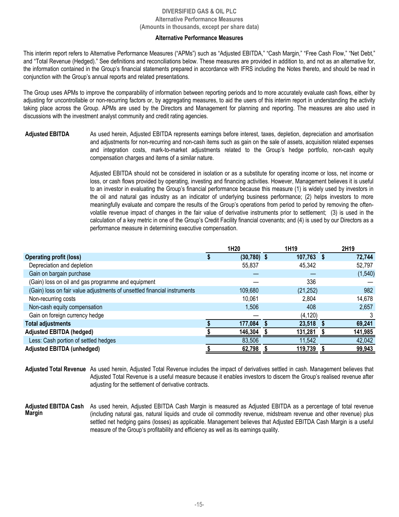# **DIVERSIFIED GAS & OIL PLC Alternative Performance Measures (Amounts in thousands, except per share data)**

# **Alternative Performance Measures**

<span id="page-14-0"></span>This interim report refers to Alternative Performance Measures ("APMs") such as "Adjusted EBITDA," "Cash Margin," "Free Cash Flow," "Net Debt," and "Total Revenue (Hedged)." See definitions and reconciliations below. These measures are provided in addition to, and not as an alternative for, the information contained in the Group's financial statements prepared in accordance with IFRS including the Notes thereto, and should be read in conjunction with the Group's annual reports and related presentations.

The Group uses APMs to improve the comparability of information between reporting periods and to more accurately evaluate cash flows, either by adjusting for uncontrollable or non-recurring factors or, by aggregating measures, to aid the users of this interim report in understanding the activity taking place across the Group. APMs are used by the Directors and Management for planning and reporting. The measures are also used in discussions with the investment analyst community and credit rating agencies.

**Adjusted EBITDA** As used herein, Adjusted EBITDA represents earnings before interest, taxes, depletion, depreciation and amortisation and adjustments for non-recurring and non-cash items such as gain on the sale of assets, acquisition related expenses and integration costs, mark-to-market adjustments related to the Group's hedge portfolio, non-cash equity compensation charges and items of a similar nature.

> Adjusted EBITDA should not be considered in isolation or as a substitute for operating income or loss, net income or loss, or cash flows provided by operating, investing and financing activities. However, Management believes it is useful to an investor in evaluating the Group's financial performance because this measure (1) is widely used by investors in the oil and natural gas industry as an indicator of underlying business performance; (2) helps investors to more meaningfully evaluate and compare the results of the Group's operations from period to period by removing the oftenvolatile revenue impact of changes in the fair value of derivative instruments prior to settlement; (3) is used in the calculation of a key metric in one of the Group's Credit Facility financial covenants; and (4) is used by our Directors as a performance measure in determining executive compensation.

|                                                                          | 1H20          |   | 1H19      |    | 2H19    |
|--------------------------------------------------------------------------|---------------|---|-----------|----|---------|
| <b>Operating profit (loss)</b>                                           | $(30,780)$ \$ |   | 107,763   | -S | 72,744  |
| Depreciation and depletion                                               | 55,837        |   | 45,342    |    | 52,797  |
| Gain on bargain purchase                                                 |               |   |           |    | (1,540) |
| (Gain) loss on oil and gas programme and equipment                       |               |   | 336       |    |         |
| (Gain) loss on fair value adjustments of unsettled financial instruments | 109,680       |   | (21, 252) |    | 982     |
| Non-recurring costs                                                      | 10,061        |   | 2,804     |    | 14,678  |
| Non-cash equity compensation                                             | 1,506         |   | 408       |    | 2,657   |
| Gain on foreign currency hedge                                           |               |   | (4, 120)  |    |         |
| <b>Total adjustments</b>                                                 | 177.084       | 5 | 23,518    |    | 69,241  |
| <b>Adjusted EBITDA (hedged)</b>                                          | 146,304       |   | 131,281   |    | 141,985 |
| Less: Cash portion of settled hedges                                     | 83,506        |   | 11,542    |    | 42,042  |
| <b>Adjusted EBITDA (unhedged)</b>                                        | 62,798        |   | 119,739   |    | 99,943  |

**Adjusted Total Revenue** As used herein, Adjusted Total Revenue includes the impact of derivatives settled in cash. Management believes that Adjusted Total Revenue is a useful measure because it enables investors to discern the Group's realised revenue after adjusting for the settlement of derivative contracts.

**Adjusted EBITDA Cash Margin** As used herein, Adjusted EBITDA Cash Margin is measured as Adjusted EBITDA as a percentage of total revenue (including natural gas, natural liquids and crude oil commodity revenue, midstream revenue and other revenue) plus settled net hedging gains (losses) as applicable. Management believes that Adjusted EBITDA Cash Margin is a useful measure of the Group's profitability and efficiency as well as its earnings quality.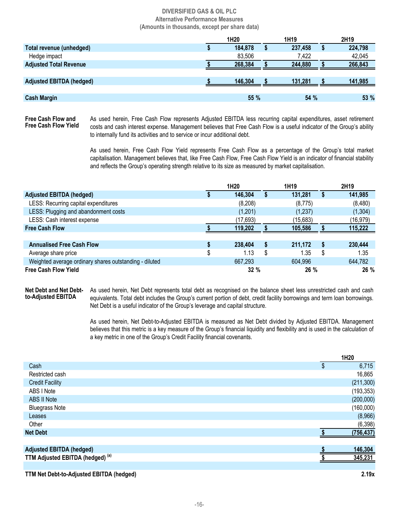# **DIVERSIFIED GAS & OIL PLC Alternative Performance Measures (Amounts in thousands, except per share data)**

| 1H20    | 1H <sub>19</sub> |      | 2H19    |
|---------|------------------|------|---------|
| 184,878 | 237,458          |      | 224,798 |
| 83,506  | 7,422            |      | 42,045  |
| 268,384 | 244,880          |      | 266,843 |
|         |                  |      |         |
| 146,304 | 131,281          |      | 141,985 |
|         |                  |      |         |
|         |                  |      | 53 %    |
|         | 55 %             | 54 % |         |

**Free Cash Flow and Free Cash Flow Yield**

As used herein, Free Cash Flow represents Adjusted EBITDA less recurring capital expenditures, asset retirement costs and cash interest expense. Management believes that Free Cash Flow is a useful indicator of the Group's ability to internally fund its activities and to service or incur additional debt.

As used herein, Free Cash Flow Yield represents Free Cash Flow as a percentage of the Group's total market capitalisation. Management believes that, like Free Cash Flow, Free Cash Flow Yield is an indicator of financial stability and reflects the Group's operating strength relative to its size as measured by market capitalisation.

|                                                        | 1H20      | 1H19       |    | 2H19      |
|--------------------------------------------------------|-----------|------------|----|-----------|
| <b>Adjusted EBITDA (hedged)</b>                        | 146,304   | 131,281    | 5  | 141,985   |
| LESS: Recurring capital expenditures                   | (8,208)   | (8, 775)   |    | (8,480)   |
| LESS: Plugging and abandonment costs                   | (1,201)   | (1, 237)   |    | (1,304)   |
| LESS: Cash interest expense                            | (17, 693) | (15,683)   |    | (16, 979) |
| <b>Free Cash Flow</b>                                  | 119,202   | 105,586    |    | 115,222   |
|                                                        |           |            |    |           |
| <b>Annualised Free Cash Flow</b>                       | 238,404   | 211,172    |    | 230,444   |
| Average share price                                    | 1.13      | \$<br>1.35 | \$ | 1.35      |
| Weighted average ordinary shares outstanding - diluted | 667,293   | 604,996    |    | 644,782   |
| <b>Free Cash Flow Yield</b>                            | 32%       | 26 %       |    | $26 \%$   |

#### **Net Debt and Net Debtto-Adjusted EBITDA**

As used herein, Net Debt represents total debt as recognised on the balance sheet less unrestricted cash and cash equivalents. Total debt includes the Group's current portion of debt, credit facility borrowings and term loan borrowings. Net Debt is a useful indicator of the Group's leverage and capital structure.

As used herein, Net Debt-to-Adjusted EBITDA is measured as Net Debt divided by Adjusted EBITDA. Management believes that this metric is a key measure of the Group's financial liquidity and flexibility and is used in the calculation of a key metric in one of the Group's Credit Facility financial covenants.

|                                          | 1H20        |
|------------------------------------------|-------------|
| Cash                                     | \$<br>6,715 |
| Restricted cash                          | 16,865      |
| <b>Credit Facility</b>                   | (211, 300)  |
| ABS I Note                               | (193, 353)  |
| <b>ABS II Note</b>                       | (200,000)   |
| <b>Bluegrass Note</b>                    | (160,000)   |
| Leases                                   | (8,966)     |
| Other                                    | (6, 398)    |
| <b>Net Debt</b>                          | (756, 437)  |
|                                          |             |
| <b>Adjusted EBITDA (hedged)</b>          | 146,304     |
| TTM Adjusted EBITDA (hedged) (a)         | 345,231     |
|                                          |             |
| TTM Net Debt-to-Adjusted EBITDA (hedged) | 2.19x       |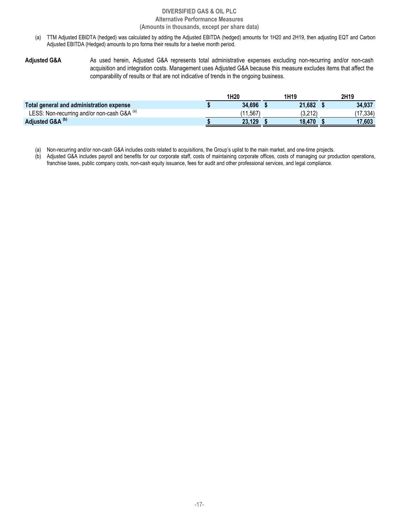# **DIVERSIFIED GAS & OIL PLC**

# **Alternative Performance Measures**

**(Amounts in thousands, except per share data)**

- (a) TTM Adjusted EBIDTA (hedged) was calculated by adding the Adjusted EBITDA (hedged) amounts for 1H20 and 2H19, then adjusting EQT and Carbon Adjusted EBITDA (Hedged) amounts to pro forma their results for a twelve month period.
- Adjusted G&A As used herein, Adjusted G&A represents total administrative expenses excluding non-recurring and/or non-cash acquisition and integration costs. Management uses Adjusted G&A because this measure excludes items that affect the comparability of results or that are not indicative of trends in the ongoing business.

|                                             | 1H20      | 1H19    | 2H19      |
|---------------------------------------------|-----------|---------|-----------|
| Total general and administration expense    | 34,696    | 21,682  | 34,937    |
| LESS: Non-recurring and/or non-cash G&A (a) | (11, 567) | (3,212) | (17, 334) |
| Adjusted G&A <sup>(b)</sup>                 | 23,129    | 18,470  | 17,603    |

- (a) Non-recurring and/or non-cash G&A includes costs related to acquisitions, the Group's uplist to the main market, and one-time projects.
- (b) Adjusted G&A includes payroll and benefits for our corporate staff, costs of maintaining corporate offices, costs of managing our production operations, franchise taxes, public company costs, non-cash equity issuance, fees for audit and other professional services, and legal compliance.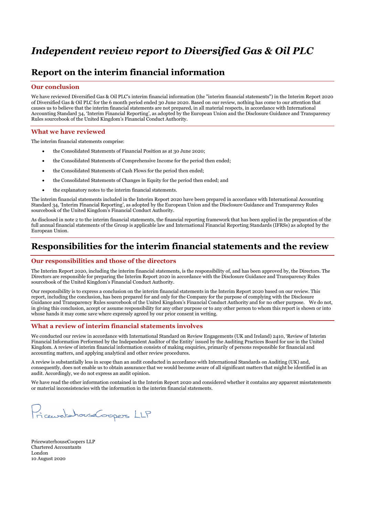# Independent review report to Diversified Gas & Oil PLC

# Report on the interim financial information

#### Our conclusion

We have reviewed Diversified Gas & Oil PLC's interim financial information (the "interim financial statements") in the Interim Report 2020 of Diversified Gas & Oil PLC for the 6 month period ended 30 June 2020. Based on our review, nothing has come to our attention that causes us to believe that the interim financial statements are not prepared, in all material respects, in accordance with International Accounting Standard 34, 'Interim Financial Reporting', as adopted by the European Union and the Disclosure Guidance and Transparency Rules sourcebook of the United Kingdom's Financial Conduct Authority.

#### What we have reviewed

The interim financial statements comprise:

- the Consolidated Statements of Financial Position as at 30 June 2020;
- the Consolidated Statements of Comprehensive Income for the period then ended;
- the Consolidated Statements of Cash Flows for the period then ended;
- the Consolidated Statements of Changes in Equity for the period then ended; and
- the explanatory notes to the interim financial statements.

The interim financial statements included in the Interim Report 2020 have been prepared in accordance with International Accounting Standard 34, 'Interim Financial Reporting', as adopted by the European Union and the Disclosure Guidance and Transparency Rules sourcebook of the United Kingdom's Financial Conduct Authority.

As disclosed in note 2 to the interim financial statements, the financial reporting framework that has been applied in the preparation of the full annual financial statements of the Group is applicable law and International Financial Reporting Standards (IFRSs) as adopted by the European Union.

# Responsibilities for the interim financial statements and the review

#### Our responsibilities and those of the directors

The Interim Report 2020, including the interim financial statements, is the responsibility of, and has been approved by, the Directors. The Directors are responsible for preparing the Interim Report 2020 in accordance with the Disclosure Guidance and Transparency Rules sourcebook of the United Kingdom's Financial Conduct Authority.

Our responsibility is to express a conclusion on the interim financial statements in the Interim Report 2020 based on our review. This report, including the conclusion, has been prepared for and only for the Company for the purpose of complying with the Disclosure Guidance and Transparency Rules sourcebook of the United Kingdom's Financial Conduct Authority and for no other purpose. We do not, in giving this conclusion, accept or assume responsibility for any other purpose or to any other person to whom this report is shown or into whose hands it may come save where expressly agreed by our prior consent in writing.

# What a review of interim financial statements involves

We conducted our review in accordance with International Standard on Review Engagements (UK and Ireland) 2410, 'Review of Interim Financial Information Performed by the Independent Auditor of the Entity' issued by the Auditing Practices Board for use in the United Kingdom. A review of interim financial information consists of making enquiries, primarily of persons responsible for financial and accounting matters, and applying analytical and other review procedures.

A review is substantially less in scope than an audit conducted in accordance with International Standards on Auditing (UK) and, consequently, does not enable us to obtain assurance that we would become aware of all significant matters that might be identified in an audit. Accordingly, we do not express an audit opinion.

We have read the other information contained in the Interim Report 2020 and considered whether it contains any apparent misstatements or material inconsistencies with the information in the interim financial statements.

PricewatehouseCoopers LLP

PricewaterhouseCoopers LLP Chartered Accountants London 10 August 2020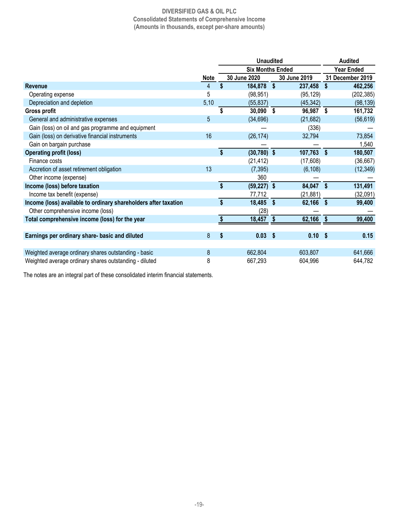# **DIVERSIFIED GAS & OIL PLC Consolidated Statements of Comprehensive Income (Amounts in thousands, except per-share amounts)**

<span id="page-18-0"></span>

|                                                                 |             | <b>Unaudited</b>        |                           | <b>Audited</b>    |      |                  |
|-----------------------------------------------------------------|-------------|-------------------------|---------------------------|-------------------|------|------------------|
|                                                                 |             | <b>Six Months Ended</b> |                           | <b>Year Ended</b> |      |                  |
|                                                                 | <b>Note</b> | 30 June 2020            |                           | 30 June 2019      |      | 31 December 2019 |
| Revenue                                                         | 4           | 184,878                 | $\sqrt[6]{\frac{1}{2}}$   | 237,458           | \$   | 462,256          |
| Operating expense                                               | 5           | (98, 951)               |                           | (95, 129)         |      | (202, 385)       |
| Depreciation and depletion                                      | 5,10        | (55, 837)               |                           | (45, 342)         |      | (98, 139)        |
| <b>Gross profit</b>                                             |             | \$<br>30,090            | $\boldsymbol{\mathsf{s}}$ | 96,987 \$         |      | 161,732          |
| General and administrative expenses                             | 5           | (34,696)                |                           | (21,682)          |      | (56, 619)        |
| Gain (loss) on oil and gas programme and equipment              |             |                         |                           | (336)             |      |                  |
| Gain (loss) on derivative financial instruments                 | 16          | (26, 174)               |                           | 32,794            |      | 73,854           |
| Gain on bargain purchase                                        |             |                         |                           |                   |      | 1,540            |
| <b>Operating profit (loss)</b>                                  |             | \$<br>$(30, 780)$ \$    |                           | 107,763 \$        |      | 180,507          |
| Finance costs                                                   |             | (21, 412)               |                           | (17,608)          |      | (36, 667)        |
| Accretion of asset retirement obligation                        | 13          | (7, 395)                |                           | (6, 108)          |      | (12, 349)        |
| Other income (expense)                                          |             | 360                     |                           |                   |      |                  |
| Income (loss) before taxation                                   |             | \$<br>$(59, 227)$ \$    |                           | 84,047 \$         |      | 131,491          |
| Income tax benefit (expense)                                    |             | 77,712                  |                           | (21, 881)         |      | (32,091)         |
| Income (loss) available to ordinary shareholders after taxation |             | \$<br>18,485            | \$                        | 62,166 \$         |      | 99,400           |
| Other comprehensive income (loss)                               |             | (28)                    |                           |                   |      |                  |
| Total comprehensive income (loss) for the year                  |             | 18,457                  | - \$                      | 62,166            | - \$ | 99,400           |
|                                                                 |             |                         |                           |                   |      |                  |
| Earnings per ordinary share- basic and diluted                  | 8           | \$<br>0.03              | -\$                       | 0.10 <sup>5</sup> |      | 0.15             |
|                                                                 |             |                         |                           |                   |      |                  |
| Weighted average ordinary shares outstanding - basic            | 8           | 662,804                 |                           | 603,807           |      | 641,666          |
| Weighted average ordinary shares outstanding - diluted          | 8           | 667,293                 |                           | 604,996           |      | 644,782          |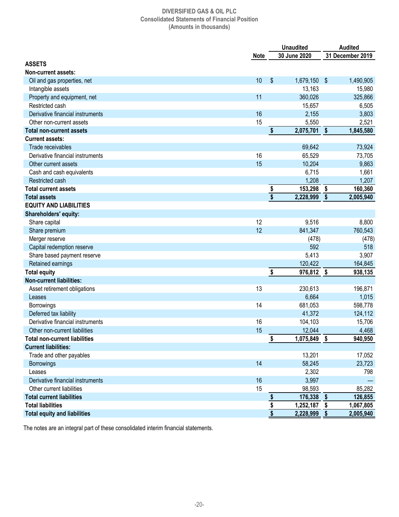# **DIVERSIFIED GAS & OIL PLC Consolidated Statements of Financial Position (Amounts in thousands)**

<span id="page-19-0"></span>

|                                      |             |                                      | <b>Unaudited</b> |            | <b>Audited</b>   |
|--------------------------------------|-------------|--------------------------------------|------------------|------------|------------------|
|                                      | <b>Note</b> | 30 June 2020                         |                  |            | 31 December 2019 |
| <b>ASSETS</b>                        |             |                                      |                  |            |                  |
| Non-current assets:                  |             |                                      |                  |            |                  |
| Oil and gas properties, net          | 10          | \$                                   | 1,679,150 \$     |            | 1,490,905        |
| Intangible assets                    |             |                                      | 13,163           |            | 15,980           |
| Property and equipment, net          | 11          |                                      | 360,026          |            | 325,866          |
| Restricted cash                      |             |                                      | 15,657           |            | 6,505            |
| Derivative financial instruments     | 16          |                                      | 2,155            |            | 3,803            |
| Other non-current assets             | 15          |                                      | 5,550            |            | 2,521            |
| <b>Total non-current assets</b>      |             | $\sqrt[6]{\frac{1}{2}}$              | $2,075,701$ \$   |            | 1,845,580        |
| <b>Current assets:</b>               |             |                                      |                  |            |                  |
| Trade receivables                    |             |                                      | 69,642           |            | 73,924           |
| Derivative financial instruments     | 16          |                                      | 65,529           |            | 73,705           |
| Other current assets                 | 15          |                                      | 10,204           |            | 9,863            |
| Cash and cash equivalents            |             |                                      | 6,715            |            | 1,661            |
| Restricted cash                      |             |                                      | 1,208            |            | 1,207            |
| <b>Total current assets</b>          |             |                                      | 153,298          | \$         | 160,360          |
| <b>Total assets</b>                  |             | $rac{1}{2}$                          | 2,228,999 \$     |            | 2,005,940        |
| <b>EQUITY AND LIABILITIES</b>        |             |                                      |                  |            |                  |
| Shareholders' equity:                |             |                                      |                  |            |                  |
| Share capital                        | 12          |                                      | 9,516            |            | 8,800            |
| Share premium                        | 12          |                                      | 841,347          |            | 760,543          |
| Merger reserve                       |             |                                      | (478)            |            | (478)            |
| Capital redemption reserve           |             |                                      | 592              |            | 518              |
| Share based payment reserve          |             |                                      | 5,413            |            | 3,907            |
| Retained earnings                    |             |                                      | 120,422          |            | 164,845          |
| <b>Total equity</b>                  |             | \$                                   | 976,812 \$       |            | 938,135          |
| <b>Non-current liabilities:</b>      |             |                                      |                  |            |                  |
| Asset retirement obligations         | 13          |                                      | 230,613          |            | 196,871          |
| Leases                               |             |                                      | 6,664            |            | 1,015            |
| Borrowings                           | 14          |                                      | 681,053          |            | 598,778          |
| Deferred tax liability               |             |                                      | 41,372           |            | 124,112          |
| Derivative financial instruments     | 16          |                                      | 104,103          |            | 15,706           |
| Other non-current liabilities        | 15          |                                      | 12,044           |            | 4,468            |
| <b>Total non-current liabilities</b> |             | \$                                   | 1,075,849        | \$         | 940,950          |
| <b>Current liabilities:</b>          |             |                                      |                  |            |                  |
| Trade and other payables             |             |                                      | 13,201           |            | 17,052           |
| <b>Borrowings</b>                    | 14          |                                      | 58,245           |            | 23,723           |
| Leases                               |             |                                      | 2,302            |            | 798              |
| Derivative financial instruments     | 16          |                                      | 3,997            |            |                  |
| Other current liabilities            | 15          |                                      | 98,593           |            | 85,282           |
| <b>Total current liabilities</b>     |             | $\frac{1}{2}$                        | 176,338          | $\sqrt{2}$ | 126,855          |
| <b>Total liabilities</b>             |             | \$                                   | 1,252,187 \$     |            | 1,067,805        |
| <b>Total equity and liabilities</b>  |             | $\overline{\boldsymbol{\mathsf{s}}}$ | 2,228,999 \$     |            | 2,005,940        |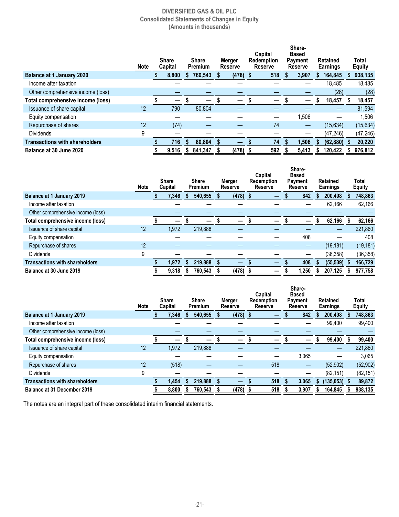# **DIVERSIFIED GAS & OIL PLC Consolidated Statements of Changes in Equity (Amounts in thousands)**

<span id="page-20-0"></span>

|                                       | <b>Note</b> | <b>Share</b><br>Capital |    | <b>Share</b><br>Premium |          | Merger<br><b>Reserve</b> |   | Capital<br><b>Redemption</b><br><b>Reserve</b> | Share-<br><b>Based</b><br>Payment<br><b>Reserve</b> | Retained<br><b>Earnings</b> |   | Total<br><b>Equity</b> |
|---------------------------------------|-------------|-------------------------|----|-------------------------|----------|--------------------------|---|------------------------------------------------|-----------------------------------------------------|-----------------------------|---|------------------------|
| <b>Balance at 1 January 2020</b>      |             | 8,800                   | S. | 760,543                 | <b>S</b> | (478)                    | 5 | 518                                            | 3,907                                               | 164,845                     |   | 938,135                |
| Income after taxation                 |             |                         |    |                         |          |                          |   |                                                |                                                     | 18,485                      |   | 18,485                 |
| Other comprehensive income (loss)     |             |                         |    |                         |          |                          |   |                                                |                                                     | (28)                        |   | (28)                   |
| Total comprehensive income (loss)     |             |                         |    |                         |          |                          |   |                                                |                                                     | 18.457                      | s | 18,457                 |
| Issuance of share capital             | 12          | 790                     |    | 80,804                  |          |                          |   |                                                |                                                     |                             |   | 81,594                 |
| Equity compensation                   |             |                         |    |                         |          |                          |   |                                                | 1,506                                               |                             |   | 1,506                  |
| Repurchase of shares                  | 12          | (74)                    |    |                         |          |                          |   | 74                                             |                                                     | (15, 634)                   |   | (15, 634)              |
| <b>Dividends</b>                      | 9           |                         |    |                         |          |                          |   |                                                |                                                     | (47, 246)                   |   | (47, 246)              |
| <b>Transactions with shareholders</b> |             | 716                     |    | 80.804                  | S        |                          |   | 74                                             | 1.506                                               | (62, 880)                   |   | 20,220                 |
| Balance at 30 June 2020               |             | 9,516                   |    | 841,347                 |          | (478)                    |   | 592                                            | 5,413                                               | 120,422                     |   | 976,812                |

|                                       | <b>Note</b> | <b>Share</b><br>Capital | <b>Share</b><br>Premium | Merger<br><b>Reserve</b> | Capital<br><b>Redemption</b><br><b>Reserve</b> | Share-<br><b>Based</b><br>Payment<br><b>Reserve</b> | <b>Retained</b><br>Earnings |    | Total<br><b>Equity</b> |
|---------------------------------------|-------------|-------------------------|-------------------------|--------------------------|------------------------------------------------|-----------------------------------------------------|-----------------------------|----|------------------------|
| <b>Balance at 1 January 2019</b>      |             | 7,346                   | 540.655                 | $(478)$ \$               |                                                | 842                                                 | 200.498                     |    | 748,863                |
| Income after taxation                 |             |                         |                         |                          |                                                |                                                     | 62.166                      |    | 62.166                 |
| Other comprehensive income (loss)     |             |                         |                         |                          |                                                |                                                     |                             |    |                        |
| Total comprehensive income (loss)     |             |                         |                         |                          |                                                |                                                     | 62,166                      |    | 62,166                 |
| Issuance of share capital             | 12          | 1,972                   | 219.888                 |                          |                                                |                                                     |                             |    | 221,860                |
| Equity compensation                   |             |                         |                         |                          |                                                | 408                                                 |                             |    | 408                    |
| Repurchase of shares                  | 12          |                         |                         |                          |                                                | -                                                   | (19, 181)                   |    | (19, 181)              |
| <b>Dividends</b>                      | 9           |                         |                         |                          |                                                |                                                     | (36, 358)                   |    | (36, 358)              |
| <b>Transactions with shareholders</b> |             | 1.972                   | 219,888                 | —                        | –                                              | 408                                                 | $(55,539)$ \$               |    | 166,729                |
| Balance at 30 June 2019               |             | 9,318                   | 760,543                 | (478)                    |                                                | 1,250                                               | 207,125                     | J. | 977,758                |

| <b>Note</b> |       |                  |         |                  | Merger<br><b>Reserve</b> | Capital<br>Reserve |                   |       |                                                            |           |                                          | Total<br><b>Equity</b> |
|-------------|-------|------------------|---------|------------------|--------------------------|--------------------|-------------------|-------|------------------------------------------------------------|-----------|------------------------------------------|------------------------|
|             | 7.346 |                  | 540.655 |                  |                          |                    |                   | 842   |                                                            | 200.498   |                                          | 748,863                |
|             |       |                  |         |                  |                          |                    |                   |       |                                                            | 99.400    |                                          | 99,400                 |
|             |       |                  |         |                  |                          |                    |                   |       |                                                            |           |                                          |                        |
|             |       |                  |         |                  | –                        |                    |                   |       |                                                            | 99,400    |                                          | 99,400                 |
| 12          | 1,972 |                  | 219.888 |                  |                          |                    |                   |       |                                                            |           |                                          | 221,860                |
|             |       |                  |         |                  |                          |                    |                   | 3.065 |                                                            |           |                                          | 3.065                  |
| 12          | (518) |                  |         |                  |                          | 518                |                   |       |                                                            | (52, 902) |                                          | (52, 902)              |
| 9           |       |                  |         |                  |                          |                    |                   |       |                                                            | (82, 151) |                                          | (82, 151)              |
|             | 1.454 |                  | 219,888 |                  | -                        | 518                |                   | 3.065 |                                                            |           | -S                                       | 89,872                 |
|             | 8,800 |                  | 760,543 |                  | (478)                    | 518                |                   | 3,907 |                                                            | 164,845   |                                          | 938,135                |
|             |       | Share<br>Capital |         | Share<br>Premium |                          | $(478)$ \$         | <b>Redemption</b> |       | Share-<br><b>Based</b><br><b>Payment</b><br><b>Reserve</b> |           | <b>Retained</b><br>Earnings<br>(135,053) |                        |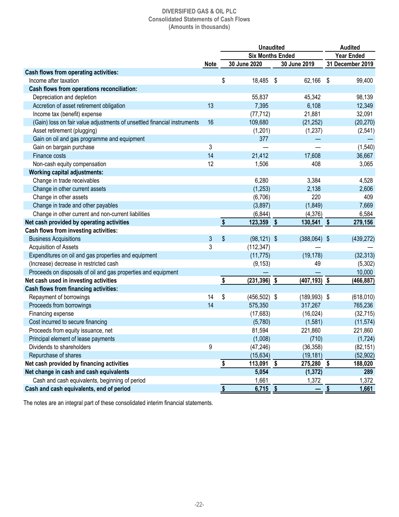# **DIVERSIFIED GAS & OIL PLC Consolidated Statements of Cash Flows (Amounts in thousands)**

<span id="page-21-0"></span>

|                                                                          |                |                         | <b>Unaudited</b>        |  |                 | <b>Audited</b> |                   |
|--------------------------------------------------------------------------|----------------|-------------------------|-------------------------|--|-----------------|----------------|-------------------|
|                                                                          |                |                         | <b>Six Months Ended</b> |  |                 |                | <b>Year Ended</b> |
|                                                                          | <b>Note</b>    |                         | 30 June 2020            |  | 30 June 2019    |                | 31 December 2019  |
| <b>Cash flows from operating activities:</b>                             |                |                         |                         |  |                 |                |                   |
| Income after taxation                                                    |                | \$                      | 18,485 \$               |  | 62,166          | \$             | 99,400            |
| Cash flows from operations reconciliation:                               |                |                         |                         |  |                 |                |                   |
| Depreciation and depletion                                               |                |                         | 55,837                  |  | 45,342          |                | 98,139            |
| Accretion of asset retirement obligation                                 | 13             |                         | 7,395                   |  | 6,108           |                | 12,349            |
| Income tax (benefit) expense                                             |                |                         | (77, 712)               |  | 21,881          |                | 32,091            |
| (Gain) loss on fair value adjustments of unsettled financial instruments | 16             |                         | 109,680                 |  | (21, 252)       |                | (20, 270)         |
| Asset retirement (plugging)                                              |                |                         | (1,201)                 |  | (1, 237)        |                | (2, 541)          |
| Gain on oil and gas programme and equipment                              |                |                         | 377                     |  |                 |                |                   |
| Gain on bargain purchase                                                 | 3              |                         |                         |  |                 |                | (1,540)           |
| Finance costs                                                            | 14             |                         | 21,412                  |  | 17,608          |                | 36,667            |
| Non-cash equity compensation                                             | 12             |                         | 1,506                   |  | 408             |                | 3,065             |
| <b>Working capital adjustments:</b>                                      |                |                         |                         |  |                 |                |                   |
| Change in trade receivables                                              |                |                         | 6,280                   |  | 3,384           |                | 4,528             |
| Change in other current assets                                           |                |                         | (1, 253)                |  | 2,138           |                | 2,606             |
| Change in other assets                                                   |                |                         | (6, 706)                |  | 220             |                | 409               |
| Change in trade and other payables                                       |                |                         | (3,897)                 |  | (1, 849)        |                | 7,669             |
| Change in other current and non-current liabilities                      |                |                         | (6, 844)                |  | (4, 376)        |                | 6,584             |
| Net cash provided by operating activities                                |                | \$                      | 123,359 \$              |  | 130,541 \$      |                | 279,156           |
| Cash flows from investing activities:                                    |                |                         |                         |  |                 |                |                   |
| <b>Business Acquisitions</b>                                             | $\mathfrak{Z}$ | \$                      | $(98, 121)$ \$          |  | $(388,064)$ \$  |                | (439, 272)        |
| <b>Acquisition of Assets</b>                                             | 3              |                         | (112, 347)              |  |                 |                |                   |
| Expenditures on oil and gas properties and equipment                     |                |                         | (11, 775)               |  | (19, 178)       |                | (32, 313)         |
| (Increase) decrease in restricted cash                                   |                |                         | (9, 153)                |  | 49              |                | (5,302)           |
| Proceeds on disposals of oil and gas properties and equipment            |                |                         |                         |  |                 |                | 10,000            |
| Net cash used in investing activities                                    |                | \$                      | $(231, 396)$ \$         |  | $(407, 193)$ \$ |                | (466, 887)        |
| <b>Cash flows from financing activities:</b>                             |                |                         |                         |  |                 |                |                   |
| Repayment of borrowings                                                  | 14             | \$                      | $(456, 502)$ \$         |  | $(189,993)$ \$  |                | (618,010)         |
| Proceeds from borrowings                                                 | 14             |                         | 575,350                 |  | 317,267         |                | 765,236           |
| Financing expense                                                        |                |                         | (17,683)                |  | (16, 024)       |                | (32, 715)         |
| Cost incurred to secure financing                                        |                |                         | (5,780)                 |  | (1,581)         |                | (11, 574)         |
| Proceeds from equity issuance, net                                       |                |                         | 81,594                  |  | 221,860         |                | 221,860           |
| Principal element of lease payments                                      |                |                         | (1,008)                 |  | (710)           |                | (1, 724)          |
| Dividends to shareholders                                                | 9              |                         | (47, 246)               |  | (36, 358)       |                | (82, 151)         |
| Repurchase of shares                                                     |                |                         | (15, 634)               |  | (19, 181)       |                | (52, 902)         |
| Net cash provided by financing activities                                |                | \$                      | 113,091 \$              |  | 275,280 \$      |                | 188,020           |
| Net change in cash and cash equivalents                                  |                |                         | 5,054                   |  | (1, 372)        |                | 289               |
| Cash and cash equivalents, beginning of period                           |                |                         | 1,661                   |  | 1,372           |                | 1,372             |
| Cash and cash equivalents, end of period                                 |                | $\sqrt[6]{\frac{1}{2}}$ | $6,715$ \$              |  |                 | $\sqrt{5}$     | 1,661             |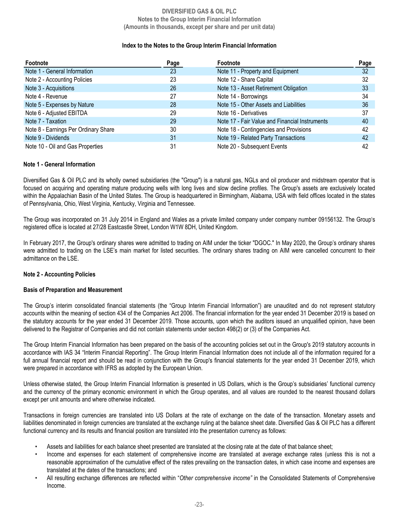# **Index to the Notes to the Group Interim Financial Information**

<span id="page-22-0"></span>

| Footnote                             | <u>Page</u> | <b>Footnote</b>                                | Page |
|--------------------------------------|-------------|------------------------------------------------|------|
| Note 1 - General Information         | 23          | Note 11 - Property and Equipment               | 32   |
| Note 2 - Accounting Policies         | 23          | Note 12 - Share Capital                        | 32   |
| Note 3 - Acquisitions                | 26          | Note 13 - Asset Retirement Obligation          | 33   |
| Note 4 - Revenue                     | 27          | Note 14 - Borrowings                           | 34   |
| Note 5 - Expenses by Nature          | 28          | Note 15 - Other Assets and Liabilities         | 36   |
| Note 6 - Adjusted EBITDA             | 29          | Note 16 - Derivatives                          | 37   |
| Note 7 - Taxation                    | 29          | Note 17 - Fair Value and Financial Instruments | 40   |
| Note 8 - Earnings Per Ordinary Share | 30          | Note 18 - Contingencies and Provisions         | 42   |
| Note 9 - Dividends                   | 31          | Note 19 - Related Party Transactions           | 42   |
| Note 10 - Oil and Gas Properties     | 31          | Note 20 - Subsequent Events                    | 42   |

# **Note 1 - General Information**

Diversified Gas & Oil PLC and its wholly owned subsidiaries (the "Group") is a natural gas, NGLs and oil producer and midstream operator that is focused on acquiring and operating mature producing wells with long lives and slow decline profiles. The Group's assets are exclusively located within the Appalachian Basin of the United States. The Group is headquartered in Birmingham, Alabama, USA with field offices located in the states of Pennsylvania, Ohio, West Virginia, Kentucky, Virginia and Tennessee.

The Group was incorporated on 31 July 2014 in England and Wales as a private limited company under company number 09156132. The Group's registered office is located at 27/28 Eastcastle Street, London W1W 8DH, United Kingdom.

In February 2017, the Group's ordinary shares were admitted to trading on AIM under the ticker "DGOC." In May 2020, the Group's ordinary shares were admitted to trading on the LSE's main market for listed securities. The ordinary shares trading on AIM were cancelled concurrent to their admittance on the LSE.

# **Note 2 - Accounting Policies**

# **Basis of Preparation and Measurement**

The Group's interim consolidated financial statements (the "Group Interim Financial Information") are unaudited and do not represent statutory accounts within the meaning of section 434 of the Companies Act 2006. The financial information for the year ended 31 December 2019 is based on the statutory accounts for the year ended 31 December 2019. Those accounts, upon which the auditors issued an unqualified opinion, have been delivered to the Registrar of Companies and did not contain statements under section 498(2) or (3) of the Companies Act.

The Group Interim Financial Information has been prepared on the basis of the accounting policies set out in the Group's 2019 statutory accounts in accordance with IAS 34 "Interim Financial Reporting". The Group Interim Financial Information does not include all of the information required for a full annual financial report and should be read in conjunction with the Group's financial statements for the year ended 31 December 2019, which were prepared in accordance with IFRS as adopted by the European Union.

Unless otherwise stated, the Group Interim Financial Information is presented in US Dollars, which is the Group's subsidiaries' functional currency and the currency of the primary economic environment in which the Group operates, and all values are rounded to the nearest thousand dollars except per unit amounts and where otherwise indicated.

Transactions in foreign currencies are translated into US Dollars at the rate of exchange on the date of the transaction. Monetary assets and liabilities denominated in foreign currencies are translated at the exchange ruling at the balance sheet date. Diversified Gas & Oil PLC has a different functional currency and its results and financial position are translated into the presentation currency as follows:

- Assets and liabilities for each balance sheet presented are translated at the closing rate at the date of that balance sheet;
- Income and expenses for each statement of comprehensive income are translated at average exchange rates (unless this is not a reasonable approximation of the cumulative effect of the rates prevailing on the transaction dates, in which case income and expenses are translated at the dates of the transactions; and
- All resulting exchange differences are reflected within "*Other comprehensive income"* in the Consolidated Statements of Comprehensive Income.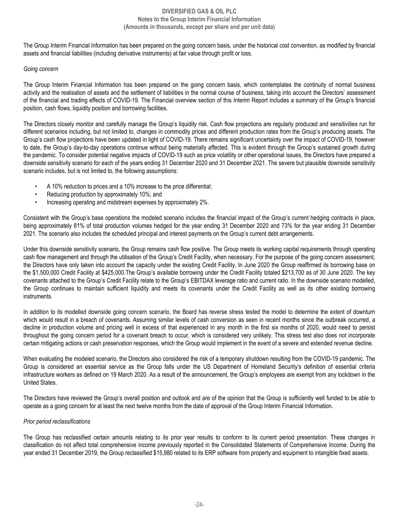The Group Interim Financial Information has been prepared on the going concern basis, under the historical cost convention, as modified by financial assets and financial liabilities (including derivative instruments) at fair value through profit or loss.

#### *Going concern*

The Group Interim Financial Information has been prepared on the going concern basis, which contemplates the continuity of normal business activity and the realisation of assets and the settlement of liabilities in the normal course of business, taking into account the Directors' assessment of the financial and trading effects of COVID-19. The Financial overview section of this Interim Report includes a summary of the Group's financial position, cash flows, liquidity position and borrowing facilities.

The Directors closely monitor and carefully manage the Group's liquidity risk. Cash flow projections are regularly produced and sensitivities run for different scenarios including, but not limited to, changes in commodity prices and different production rates from the Group's producing assets. The Group's cash flow projections have been updated in light of COVID-19. There remains significant uncertainty over the impact of COVID-19, however to date, the Group's day-to-day operations continue without being materially affected. This is evident through the Group's sustained growth during the pandemic. To consider potential negative impacts of COVID-19 such as price volatility or other operational issues, the Directors have prepared a downside sensitivity scenario for each of the years ending 31 December 2020 and 31 December 2021. The severe but plausible downside sensitivity scenario includes, but is not limited to, the following assumptions:

- A 10% reduction to prices and a 10% increase to the price differential;
- Reducing production by approximately 10%; and
- Increasing operating and midstream expenses by approximately 2%.

Consistent with the Group's base operations the modeled scenario includes the financial impact of the Group's current hedging contracts in place, being approximately 81% of total production volumes hedged for the year ending 31 December 2020 and 73% for the year ending 31 December 2021. The scenario also includes the scheduled principal and interest payments on the Group's current debt arrangements.

Under this downside sensitivity scenario, the Group remains cash flow positive. The Group meets its working capital requirements through operating cash flow management and through the utilisation of the Group's Credit Facility, when necessary. For the purpose of the going concern assessment, the Directors have only taken into account the capacity under the existing Credit Facility. In June 2020 the Group reaffirmed its borrowing base on the \$1,500,000 Credit Facility at \$425,000.The Group's available borrowing under the Credit Facility totaled \$213,700 as of 30 June 2020. The key covenants attached to the Group's Credit Facility relate to the Group's EBITDAX leverage ratio and current ratio. In the downside scenario modelled, the Group continues to maintain sufficient liquidity and meets its covenants under the Credit Facility as well as its other existing borrowing instruments.

In addition to its modelled downside going concern scenario, the Board has reverse stress tested the model to determine the extent of downturn which would result in a breach of covenants. Assuming similar levels of cash conversion as seen in recent months since the outbreak occurred, a decline in production volume and pricing well in excess of that experienced in any month in the first six months of 2020, would need to persist throughout the going concern period for a covenant breach to occur, which is considered very unlikely. This stress test also does not incorporate certain mitigating actions or cash preservation responses, which the Group would implement in the event of a severe and extended revenue decline.

When evaluating the modeled scenario, the Directors also considered the risk of a temporary shutdown resulting from the COVID-19 pandemic. The Group is considered an essential service as the Group falls under the US Department of Homeland Security's definition of essential criteria infrastructure workers as defined on 19 March 2020. As a result of the announcement, the Group's employees are exempt from any lockdown in the United States.

The Directors have reviewed the Group's overall position and outlook and are of the opinion that the Group is sufficiently well funded to be able to operate as a going concern for at least the next twelve months from the date of approval of the Group Interim Financial Information.

# *Prior period reclassifications*

The Group has reclassified certain amounts relating to its prior year results to conform to its current period presentation. These changes in classification do not affect total comprehensive income previously reported in the Consolidated Statements of Comprehensive Income. During the year ended 31 December 2019, the Group reclassified \$15,980 related to its ERP software from property and equipment to intangible fixed assets.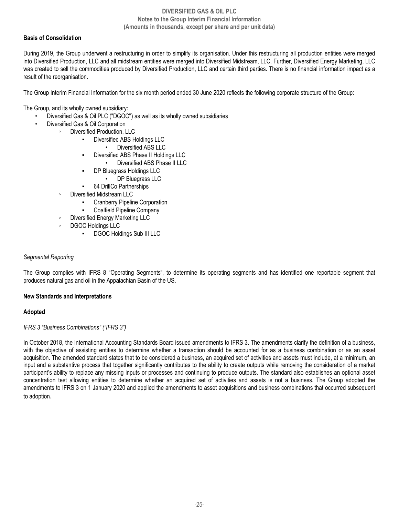# **Basis of Consolidation**

During 2019, the Group underwent a restructuring in order to simplify its organisation. Under this restructuring all production entities were merged into Diversified Production, LLC and all midstream entities were merged into Diversified Midstream, LLC. Further, Diversified Energy Marketing, LLC was created to sell the commodities produced by Diversified Production, LLC and certain third parties. There is no financial information impact as a result of the reorganisation.

The Group Interim Financial Information for the six month period ended 30 June 2020 reflects the following corporate structure of the Group:

The Group, and its wholly owned subsidiary:

- Diversified Gas & Oil PLC ("DGOC'') as well as its wholly owned subsidiaries
- Diversified Gas & Oil Corporation
	- Diversified Production, LLC
		- Diversified ABS Holdings LLC
			- Diversified ABS LLC
		- Diversified ABS Phase II Holdings LLC
			- Diversified ABS Phase II LLC
		- DP Bluegrass Holdings LLC
			- DP Bluegrass LLC
			- 64 DrillCo Partnerships
		- Diversified Midstream LLC
			- **Cranberry Pipeline Corporation**
			- Coalfield Pipeline Company
		- Diversified Energy Marketing LLC
		- DGOC Holdings LLC
			- DGOC Holdings Sub III LLC

#### *Segmental Reporting*

The Group complies with IFRS 8 "Operating Segments", to determine its operating segments and has identified one reportable segment that produces natural gas and oil in the Appalachian Basin of the US.

# **New Standards and Interpretations**

# **Adopted**

*IFRS 3 "Business Combinations" ("IFRS 3")*

In October 2018, the International Accounting Standards Board issued amendments to IFRS 3. The amendments clarify the definition of a business, with the objective of assisting entities to determine whether a transaction should be accounted for as a business combination or as an asset acquisition. The amended standard states that to be considered a business, an acquired set of activities and assets must include, at a minimum, an input and a substantive process that together significantly contributes to the ability to create outputs while removing the consideration of a market participant's ability to replace any missing inputs or processes and continuing to produce outputs. The standard also establishes an optional asset concentration test allowing entities to determine whether an acquired set of activities and assets is not a business. The Group adopted the amendments to IFRS 3 on 1 January 2020 and applied the amendments to asset acquisitions and business combinations that occurred subsequent to adoption.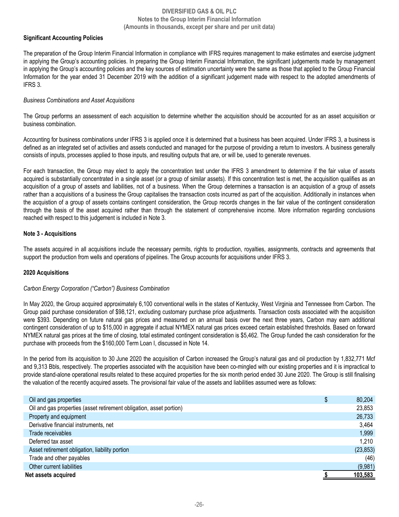# <span id="page-25-0"></span>**Significant Accounting Policies**

The preparation of the Group Interim Financial Information in compliance with IFRS requires management to make estimates and exercise judgment in applying the Group's accounting policies. In preparing the Group Interim Financial Information, the significant judgements made by management in applying the Group's accounting policies and the key sources of estimation uncertainty were the same as those that applied to the Group Financial Information for the year ended 31 December 2019 with the addition of a significant judgement made with respect to the adopted amendments of IFRS 3.

# *Business Combinations and Asset Acquisitions*

The Group performs an assessment of each acquisition to determine whether the acquisition should be accounted for as an asset acquisition or business combination.

Accounting for business combinations under IFRS 3 is applied once it is determined that a business has been acquired. Under IFRS 3, a business is defined as an integrated set of activities and assets conducted and managed for the purpose of providing a return to investors. A business generally consists of inputs, processes applied to those inputs, and resulting outputs that are, or will be, used to generate revenues.

For each transaction, the Group may elect to apply the concentration test under the IFRS 3 amendment to determine if the fair value of assets acquired is substantially concentrated in a single asset (or a group of similar assets). If this concentration test is met, the acquisition qualifies as an acquisition of a group of assets and liabilities, not of a business. When the Group determines a transaction is an acquistion of a group of assets rather than a acquisitions of a business the Group capitalises the transaction costs incurred as part of the acquisition. Additionally in instances when the acquistion of a group of assets contains contingent consideration, the Group records changes in the fair value of the contingent consideration through the basis of the asset acquired rather than through the statement of comprehensive income. More information regarding conclusions reached with respect to this judgement is included in Note 3.

# **Note 3 - Acquisitions**

The assets acquired in all acquisitions include the necessary permits, rights to production, royalties, assignments, contracts and agreements that support the production from wells and operations of pipelines. The Group accounts for acquisitions under IFRS 3.

# **2020 Acquisitions**

# *Carbon Energy Corporation ("Carbon") Business Combination*

In May 2020, the Group acquired approximately 6,100 conventional wells in the states of Kentucky, West Virginia and Tennessee from Carbon. The Group paid purchase consideration of \$98,121, excluding customary purchase price adjustments. Transaction costs associated with the acquisition were \$393. Depending on future natural gas prices and measured on an annual basis over the next three years, Carbon may earn additional contingent consideration of up to \$15,000 in aggregate if actual NYMEX natural gas prices exceed certain established thresholds. Based on forward NYMEX natural gas prices at the time of closing, total estimated contingent consideration is \$5,462. The Group funded the cash consideration for the purchase with proceeds from the \$160,000 Term Loan I, discussed in Note 14.

In the period from its acquisition to 30 June 2020 the acquisition of Carbon increased the Group's natural gas and oil production by 1,832,771 Mcf and 9,313 Bbls, respectively. The properties associated with the acquisition have been co-mingled with our existing properties and it is impractical to provide stand-alone operational results related to these acquired properties for the six month period ended 30 June 2020. The Group is still finalising the valuation of the recently acquired assets. The provisional fair value of the assets and liabilities assumed were as follows:

| Oil and gas properties                                              | \$<br>80,204 |
|---------------------------------------------------------------------|--------------|
| Oil and gas properties (asset retirement obligation, asset portion) | 23,853       |
| Property and equipment                                              | 26,733       |
| Derivative financial instruments, net                               | 3,464        |
| Trade receivables                                                   | 1,999        |
| Deferred tax asset                                                  | 1,210        |
| Asset retirement obligation, liability portion                      | (23, 853)    |
| Trade and other payables                                            | (46)         |
| Other current liabilities                                           | (9,981)      |
| Net assets acquired                                                 | 103,583      |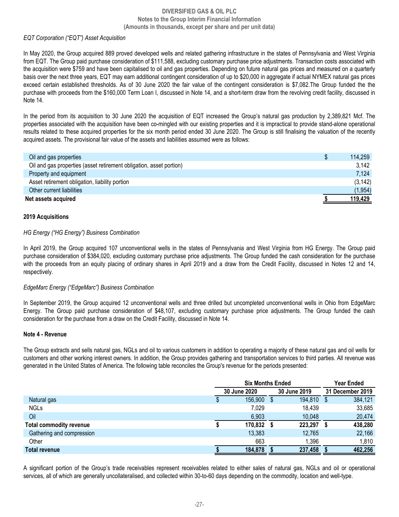# <span id="page-26-0"></span>*EQT Corporation ("EQT") Asset Acquisition*

In May 2020, the Group acquired 889 proved developed wells and related gathering infrastructure in the states of Pennsylvania and West Virginia from EQT. The Group paid purchase consideration of \$111,588, excluding customary purchase price adjustments. Transaction costs associated with the acquisition were \$759 and have been capitalised to oil and gas properties. Depending on future natural gas prices and measured on a quarterly basis over the next three years, EQT may earn additional contingent consideration of up to \$20,000 in aggregate if actual NYMEX natural gas prices exceed certain established thresholds. As of 30 June 2020 the fair value of the contingent consideration is \$7,082.The Group funded the the purchase with proceeds from the \$160,000 Term Loan I, discussed in Note 14, and a short-term draw from the revolving credit facility, discussed in Note 14.

In the period from its acquisition to 30 June 2020 the acquisition of EQT increased the Group's natural gas production by 2,389,821 Mcf. The properties associated with the acquisition have been co-mingled with our existing properties and it is impractical to provide stand-alone operational results related to these acquired properties for the six month period ended 30 June 2020. The Group is still finalising the valuation of the recently acquired assets. The provisional fair value of the assets and liabilities assumed were as follows:

| Oil and gas properties                                              | 114,259  |
|---------------------------------------------------------------------|----------|
| Oil and gas properties (asset retirement obligation, asset portion) | 3.142    |
| Property and equipment                                              | 7,124    |
| Asset retirement obligation, liability portion                      | (3, 142) |
| Other current liabilities                                           | (1, 954) |
| Net assets acquired                                                 | 119.429  |

# **2019 Acquisitions**

# *HG Energy ("HG Energy") Business Combination*

In April 2019, the Group acquired 107 unconventional wells in the states of Pennsylvania and West Virginia from HG Energy. The Group paid purchase consideration of \$384,020, excluding customary purchase price adjustments. The Group funded the cash consideration for the purchase with the proceeds from an equity placing of ordinary shares in April 2019 and a draw from the Credit Facility, discussed in Notes 12 and 14, respectively.

# *EdgeMarc Energy ("EdgeMarc") Business Combination*

In September 2019, the Group acquired 12 unconventional wells and three drilled but uncompleted unconventional wells in Ohio from EdgeMarc Energy. The Group paid purchase consideration of \$48,107, excluding customary purchase price adjustments. The Group funded the cash consideration for the purchase from a draw on the Credit Facility, discussed in Note 14.

#### **Note 4 - Revenue**

The Group extracts and sells natural gas, NGLs and oil to various customers in addition to operating a majority of these natural gas and oil wells for customers and other working interest owners. In addition, the Group provides gathering and transportation services to third parties. All revenue was generated in the United States of America. The following table reconciles the Group's revenue for the periods presented:

|                                | <b>Six Months Ended</b> |  |              |   | <b>Year Ended</b> |  |  |
|--------------------------------|-------------------------|--|--------------|---|-------------------|--|--|
|                                | 30 June 2020            |  | 30 June 2019 |   | 31 December 2019  |  |  |
| Natural gas                    | 156,900 \$              |  | 194,810      | S | 384,121           |  |  |
| <b>NGLs</b>                    | 7,029                   |  | 18,439       |   | 33,685            |  |  |
| Oil                            | 6,903                   |  | 10,048       |   | 20,474            |  |  |
| <b>Total commodity revenue</b> | 170,832 \$              |  | 223,297      |   | 438,280           |  |  |
| Gathering and compression      | 13,383                  |  | 12,765       |   | 22,166            |  |  |
| Other                          | 663                     |  | 1,396        |   | 1,810             |  |  |
| <b>Total revenue</b>           | 184,878                 |  | 237,458      |   | 462,256           |  |  |

A significant portion of the Group's trade receivables represent receivables related to either sales of natural gas, NGLs and oil or operational services, all of which are generally uncollateralised, and collected within 30-to-60 days depending on the commodity, location and well-type.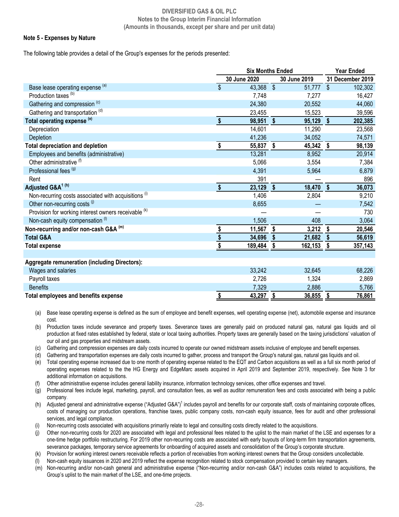#### <span id="page-27-0"></span>**Note 5 - Expenses by Nature**

The following table provides a detail of the Group's expenses for the periods presented:

|                                                                 | <b>Six Months Ended</b> |              |                         |              | <b>Year Ended</b> |                  |  |
|-----------------------------------------------------------------|-------------------------|--------------|-------------------------|--------------|-------------------|------------------|--|
|                                                                 |                         | 30 June 2020 |                         | 30 June 2019 |                   | 31 December 2019 |  |
| Base lease operating expense (a)                                | $\mathbb{S}$            | 43,368       | $\sqrt{2}$              | $51,777$ \$  |                   | 102,302          |  |
| Production taxes <sup>(b)</sup>                                 |                         | 7,748        |                         | 7,277        |                   | 16,427           |  |
| Gathering and compression <sup>(c)</sup>                        |                         | 24,380       |                         | 20,552       |                   | 44,060           |  |
| Gathering and transportation (d)                                |                         | 23,455       |                         | 15,523       |                   | 39,596           |  |
| Total operating expense (e)                                     | \$                      | 98,951       | $\sqrt[6]{\frac{1}{2}}$ | 95,129       | $\sqrt{5}$        | 202,385          |  |
| Depreciation                                                    |                         | 14,601       |                         | 11,290       |                   | 23,568           |  |
| Depletion                                                       |                         | 41,236       |                         | 34,052       |                   | 74,571           |  |
| <b>Total depreciation and depletion</b>                         | \$                      | 55,837       | \$                      | 45,342 \$    |                   | 98,139           |  |
| Employees and benefits (administrative)                         |                         | 13,281       |                         | 8,952        |                   | 20,914           |  |
| Other administrative (f)                                        |                         | 5,066        |                         | 3,554        |                   | 7,384            |  |
| Professional fees <sup>(g)</sup>                                |                         | 4,391        |                         | 5,964        |                   | 6,879            |  |
| Rent                                                            |                         | 391          |                         |              |                   | 896              |  |
| Adjusted G&A <sup>1 (h)</sup>                                   | \$                      | 23,129       | $\sqrt{2}$              | 18,470 \$    |                   | 36,073           |  |
| Non-recurring costs associated with acquisitions <sup>(i)</sup> |                         | 1,406        |                         | 2,804        |                   | 9,210            |  |
| Other non-recurring costs (i)                                   |                         | 8,655        |                         |              |                   | 7,542            |  |
| Provision for working interest owners receivable (k)            |                         |              |                         |              |                   | 730              |  |
| Non-cash equity compensation <sup>(1)</sup>                     |                         | 1,506        |                         | 408          |                   | 3,064            |  |
| Non-recurring and/or non-cash G&A (m)                           |                         | 11,567       | S.                      | 3,212        | - \$              | 20,546           |  |
| <b>Total G&amp;A</b>                                            | \$                      | 34,696       | \$                      | 21,682       | -\$               | 56,619           |  |
| <b>Total expense</b>                                            |                         | 189,484      | \$                      | 162,153      | - \$              | 357,143          |  |
|                                                                 |                         |              |                         |              |                   |                  |  |
| <b>Aggregate remuneration (including Directors):</b>            |                         |              |                         |              |                   |                  |  |
| Wages and salaries                                              |                         | 33,242       |                         | 32,645       |                   | 68,226           |  |
| Payroll taxes                                                   |                         | 2,726        |                         | 1,324        |                   | 2,869            |  |
| <b>Benefits</b>                                                 |                         | 7,329        |                         | 2,886        |                   | 5,766            |  |
|                                                                 |                         |              |                         |              |                   |                  |  |

- **Total employees and benefits expense \$ 43,297 \$ 36,855 \$ 76,861** 
	- (a) Base lease operating expense is defined as the sum of employee and benefit expenses, well operating expense (net), automobile expense and insurance cost.
	- (b) Production taxes include severance and property taxes. Severance taxes are generally paid on produced natural gas, natural gas liquids and oil production at fixed rates established by federal, state or local taxing authorities. Property taxes are generally based on the taxing jurisdictions' valuation of our oil and gas properties and midstream assets.
	- (c) Gathering and compression expenses are daily costs incurred to operate our owned midstream assets inclusive of employee and benefit expenses.
	- (d) Gathering and transportation expenses are daily costs incurred to gather, process and transport the Group's natural gas, natural gas liquids and oil.
	- (e) Total operating expense increased due to one month of operating expense related to the EQT and Carbon acquisitions as well as a full six month period of operating expenses related to the the HG Energy and EdgeMarc assets acquired in April 2019 and September 2019, respectively. See Note 3 for additional information on acquisitions.
	- (f) Other administrative expense includes general liability insurance, information technology services, other office expenses and travel.
	- (g) Professional fees include legal, marketing, payroll, and consultation fees, as well as auditor remuneration fees and costs associated with being a public company.
	- (h) Adjusted general and administrative expense ("Adjusted G&A")<sup>1</sup> includes payroll and benefits for our corporate staff, costs of maintaining corporate offices, costs of managing our production operations, franchise taxes, public company costs, non-cash equity issuance, fees for audit and other professional services, and legal compliance.
	- (i) Non-recurring costs associated with acquisitions primarily relate to legal and consulting costs directly related to the acquisitions.
	- (j) Other non-recurring costs for 2020 are associated with legal and professional fees related to the uplist to the main market of the LSE and expenses for a one-time hedge portfolio restructuring. For 2019 other non-recurring costs are associated with early buyouts of long-term firm transportation agreements, severance packages, temporary service agreements for onboarding of acquired assets and consolidation of the Group's corporate structure.
	- (k) Provision for working interest owners receivable reflects a portion of receivables from working interest owners that the Group considers uncollectable.
	- Non-cash equity issuances in 2020 and 2019 reflect the expense recognition related to stock compensation provided to certain key managers.
	- (m) Non-recurring and/or non-cash general and administrative expense ("Non-recurring and/or non-cash G&A") includes costs related to acquisitions, the Group's uplist to the main market of the LSE, and one-time projects.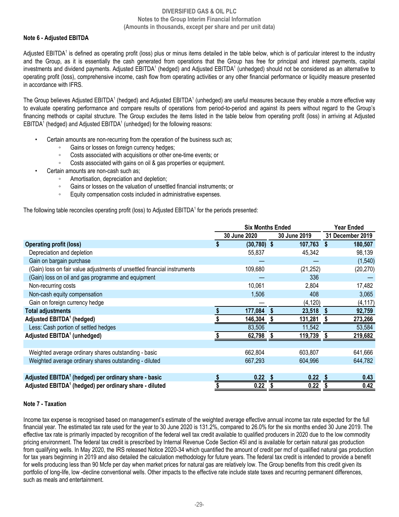# <span id="page-28-0"></span>**Note 6 - Adjusted EBITDA**

Adjusted EBITDA<sup>1</sup> is defined as operating profit (loss) plus or minus items detailed in the table below, which is of particular interest to the industry and the Group, as it is essentially the cash generated from operations that the Group has free for principal and interest payments, capital investments and dividend payments. Adjusted EBITDA<sup>1</sup> (hedged) and Adjusted EBITDA<sup>1</sup> (unhedged) should not be considered as an alternative to operating profit (loss), comprehensive income, cash flow from operating activities or any other financial performance or liquidity measure presented in accordance with IFRS.

The Group believes Adjusted EBITDA<sup>1</sup> (hedged) and Adjusted EBITDA<sup>1</sup> (unhedged) are useful measures because they enable a more effective way to evaluate operating performance and compare results of operations from period-to-period and against its peers without regard to the Group's financing methods or capital structure. The Group excludes the items listed in the table below from operating profit (loss) in arriving at Adjusted  $EBITDA<sup>1</sup>$  (hedged) and Adjusted  $EBITDA<sup>1</sup>$  (unhedged) for the following reasons:

- Certain amounts are non-recurring from the operation of the business such as;
	- Gains or losses on foreign currency hedges;
	- Costs associated with acquisitions or other one-time events; or
	- Costs associated with gains on oil & gas properties or equipment.
- Certain amounts are non-cash such as;
	- Amortisation, depreciation and depletion;
	- Gains or losses on the valuation of unsettled financial instruments; or
	- Equity compensation costs included in administrative expenses.

The following table reconciles operating profit (loss) to Adjusted EBITDA<sup>1</sup> for the periods presented:

|                                                                          | <b>Six Months Ended</b> | <b>Year Ended</b> |    |                  |
|--------------------------------------------------------------------------|-------------------------|-------------------|----|------------------|
|                                                                          | 30 June 2020            | 30 June 2019      |    | 31 December 2019 |
| <b>Operating profit (loss)</b>                                           | $(30,780)$ \$           | 107,763           | \$ | 180,507          |
| Depreciation and depletion                                               | 55,837                  | 45,342            |    | 98,139           |
| Gain on bargain purchase                                                 |                         |                   |    | (1, 540)         |
| (Gain) loss on fair value adjustments of unsettled financial instruments | 109,680                 | (21, 252)         |    | (20, 270)        |
| (Gain) loss on oil and gas programme and equipment                       |                         | 336               |    |                  |
| Non-recurring costs                                                      | 10,061                  | 2,804             |    | 17,482           |
| Non-cash equity compensation                                             | 1,506                   | 408               |    | 3,065            |
| Gain on foreign currency hedge                                           |                         | (4, 120)          |    | (4, 117)         |
| <b>Total adjustments</b>                                                 | 177,084                 | 23,518            | S  | 92,759           |
| Adjusted EBITDA <sup>1</sup> (hedged)                                    | 146,304                 | 131,281           |    | 273,266          |
| Less: Cash portion of settled hedges                                     | 83,506                  | 11,542            |    | 53,584           |
| Adjusted EBITDA <sup>1</sup> (unhedged)                                  | 62,798                  | 119,739           |    | 219,682          |
|                                                                          |                         |                   |    |                  |
| Weighted average ordinary shares outstanding - basic                     | 662,804                 | 603,807           |    | 641,666          |
| Weighted average ordinary shares outstanding - diluted                   | 667,293                 | 604,996           |    | 644,782          |
|                                                                          |                         |                   |    |                  |
| Adjusted EBITDA <sup>1</sup> (hedged) per ordinary share - basic         | 0.22                    | 0.22              |    | 0.43             |
| Adjusted EBITDA <sup>1</sup> (hedged) per ordinary share - diluted       | 0.22                    | 0.22              |    | 0.42             |

# **Note 7 - Taxation**

Income tax expense is recognised based on management's estimate of the weighted average effective annual income tax rate expected for the full financial year. The estimated tax rate used for the year to 30 June 2020 is 131.2%, compared to 26.0% for the six months ended 30 June 2019. The effective tax rate is primarily impacted by recognition of the federal well tax credit available to qualified producers in 2020 due to the low commodity pricing environment. The federal tax credit is prescribed by Internal Revenue Code Section 45I and is available for certain natural gas production from qualifying wells. In May 2020, the IRS released Notice 2020-34 which quantified the amount of credit per mcf of qualified natural gas production for tax years beginning in 2019 and also detailed the calculation methodology for future years. The federal tax credit is intended to provide a benefit for wells producing less than 90 Mcfe per day when market prices for natural gas are relatively low. The Group benefits from this credit given its portfolio of long-life, low -decline conventional wells. Other impacts to the effective rate include state taxes and recurring permanent differences, such as meals and entertainment.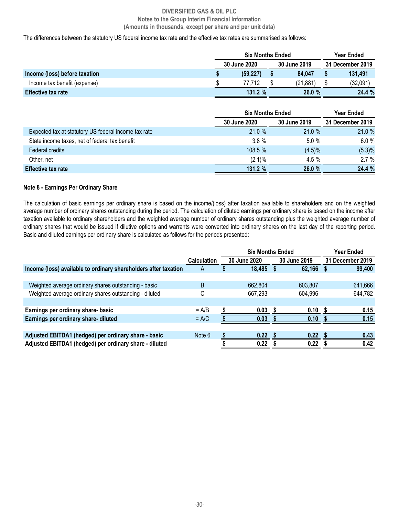<span id="page-29-0"></span>The differences between the statutory US federal income tax rate and the effective tax rates are summarised as follows:

|                               | <b>Six Months Ended</b> |           |  |          | <b>Year Ended</b> |              |  |                  |  |
|-------------------------------|-------------------------|-----------|--|----------|-------------------|--------------|--|------------------|--|
|                               | 30 June 2020            |           |  |          |                   | 30 June 2019 |  | 31 December 2019 |  |
| Income (loss) before taxation |                         | (59, 227) |  | 84.047   |                   | 131,491      |  |                  |  |
| Income tax benefit (expense)  |                         | 77.712    |  | (21.881) |                   | (32,091)     |  |                  |  |
| <b>Effective tax rate</b>     |                         | 131.2%    |  | 26.0%    |                   | 24.4 %       |  |                  |  |

|                                                      |              | <b>Six Months Ended</b> |           |  |  |  |  |
|------------------------------------------------------|--------------|-------------------------|-----------|--|--|--|--|
|                                                      | 30 June 2020 | 30 June 2019            |           |  |  |  |  |
| Expected tax at statutory US federal income tax rate | 21.0%        | 21.0%                   | 21.0 %    |  |  |  |  |
| State income taxes, net of federal tax benefit       | 3.8%         | 5.0%                    | 6.0%      |  |  |  |  |
| Federal credits                                      | 108.5%       | $(4.5)\%$               | $(5.3)\%$ |  |  |  |  |
| Other, net                                           | $(2.1)\%$    | $4.5\%$                 | 2.7%      |  |  |  |  |
| <b>Effective tax rate</b>                            | 131.2%       | 26.0%                   | 24.4 %    |  |  |  |  |

# **Note 8 - Earnings Per Ordinary Share**

The calculation of basic earnings per ordinary share is based on the income/(loss) after taxation available to shareholders and on the weighted average number of ordinary shares outstanding during the period. The calculation of diluted earnings per ordinary share is based on the income after taxation available to ordinary shareholders and the weighted average number of ordinary shares outstanding plus the weighted average number of ordinary shares that would be issued if dilutive options and warrants were converted into ordinary shares on the last day of the reporting period. Basic and diluted earnings per ordinary share is calculated as follows for the periods presented:

|                                                                 |                    | <b>Six Months Ended</b> |   |              | Year Ended |                  |  |
|-----------------------------------------------------------------|--------------------|-------------------------|---|--------------|------------|------------------|--|
|                                                                 | <b>Calculation</b> | 30 June 2020            |   | 30 June 2019 |            | 31 December 2019 |  |
| Income (loss) available to ordinary shareholders after taxation | A                  | 18,485                  | 5 | 62,166       |            | 99,400           |  |
|                                                                 |                    |                         |   |              |            |                  |  |
| Weighted average ordinary shares outstanding - basic            | B                  | 662,804                 |   | 603,807      |            | 641,666          |  |
| Weighted average ordinary shares outstanding - diluted          | С                  | 667,293                 |   | 604,996      |            | 644,782          |  |
|                                                                 |                    |                         |   |              |            |                  |  |
| Earnings per ordinary share- basic                              | $= A/B$            | 0.03                    |   | 0.10         |            | 0.15             |  |
| Earnings per ordinary share- diluted                            | $= A/C$            | 0.03                    |   | 0.10         |            | 0.15             |  |
|                                                                 |                    |                         |   |              |            |                  |  |
| Adjusted EBITDA1 (hedged) per ordinary share - basic            | Note 6             | 0.22                    |   | 0.22         |            | 0.43             |  |
| Adjusted EBITDA1 (hedged) per ordinary share - diluted          |                    | 0.22                    |   | 0.22         |            | 0.42             |  |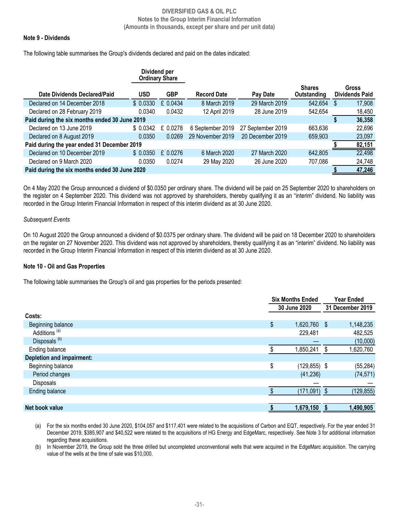#### <span id="page-30-0"></span>**Note 9 - Dividends**

The following table summarises the Group's dividends declared and paid on the dates indicated:

|                                               | Dividend per | <b>Ordinary Share</b> |                    |                   |                              |                                       |
|-----------------------------------------------|--------------|-----------------------|--------------------|-------------------|------------------------------|---------------------------------------|
| Date Dividends Declared/Paid                  | <b>USD</b>   | <b>GBP</b>            | <b>Record Date</b> | Pay Date          | <b>Shares</b><br>Outstanding | <b>Gross</b><br><b>Dividends Paid</b> |
| Declared on 14 December 2018                  | \$0.0330     | £ 0.0434              | 8 March 2019       | 29 March 2019     | 542,654                      | 17,908                                |
| Declared on 28 February 2019                  | 0.0340       | 0.0432                | 12 April 2019      | 28 June 2019      | 542,654                      | 18,450                                |
| Paid during the six months ended 30 June 2019 |              |                       |                    |                   |                              | 36,358                                |
| Declared on 13 June 2019                      | \$0.0342     | £ 0.0278              | 6 September 2019   | 27 September 2019 | 663,636                      | 22,696                                |
| Declared on 8 August 2019                     | 0.0350       | 0.0269                | 29 November 2019   | 20 December 2019  | 659,903                      | 23,097                                |
| Paid during the year ended 31 December 2019   |              |                       |                    |                   |                              | 82,151                                |
| Declared on 10 December 2019                  | \$0.0350     | $£$ 0.0276            | 6 March 2020       | 27 March 2020     | 642,805                      | 22,498                                |
| Declared on 9 March 2020                      | 0.0350       | 0.0274                | 29 May 2020        | 26 June 2020      | 707,086                      | 24,748                                |
| Paid during the six months ended 30 June 2020 |              |                       |                    |                   |                              | 47,246                                |

On 4 May 2020 the Group announced a dividend of \$0.0350 per ordinary share. The dividend will be paid on 25 September 2020 to shareholders on the register on 4 September 2020. This dividend was not approved by shareholders, thereby qualifying it as an "interim" dividend. No liability was recorded in the Group Interim Financial Information in respect of this interim dividend as at 30 June 2020.

# *Subsequent Events*

On 10 August 2020 the Group announced a dividend of \$0.0375 per ordinary share. The dividend will be paid on 18 December 2020 to shareholders on the register on 27 November 2020. This dividend was not approved by shareholders, thereby qualifying it as an "interim" dividend. No liability was recorded in the Group Interim Financial Information in respect of this interim dividend as at 30 June 2020.

# **Note 10 - Oil and Gas Properties**

The following table summarises the Group's oil and gas properties for the periods presented:

|                                  | <b>Six Months Ended</b> |                 | <b>Year Ended</b> |                  |
|----------------------------------|-------------------------|-----------------|-------------------|------------------|
|                                  |                         | 30 June 2020    |                   | 31 December 2019 |
| Costs:                           |                         |                 |                   |                  |
| Beginning balance                | \$                      | 1,620,760 \$    |                   | 1,148,235        |
| Additions <sup>(a)</sup>         |                         | 229,481         |                   | 482,525          |
| Disposals <sup>(b)</sup>         |                         |                 |                   | (10,000)         |
| Ending balance                   |                         | 1,850,241       | S                 | 1,620,760        |
| <b>Depletion and impairment:</b> |                         |                 |                   |                  |
| Beginning balance                | \$                      | $(129, 855)$ \$ |                   | (55, 284)        |
| Period changes                   |                         | (41, 236)       |                   | (74, 571)        |
| Disposals                        |                         |                 |                   |                  |
| Ending balance                   |                         | $(171,091)$ \$  |                   | (129, 855)       |
|                                  |                         |                 |                   |                  |
| Net book value                   |                         | 1,679,150       |                   | 1,490,905        |

(a) For the six months ended 30 June 2020, \$104,057 and \$117,401 were related to the acquisitions of Carbon and EQT, respectively. For the year ended 31 December 2019, \$385,907 and \$40,522 were related to the acquisitions of HG Energy and EdgeMarc, respectively. See Note 3 for additional information regarding these acquisitions.

(b) In November 2019, the Group sold the three drilled but uncompleted unconventional wells that were acquired in the EdgeMarc acquisition. The carrying value of the wells at the time of sale was \$10,000.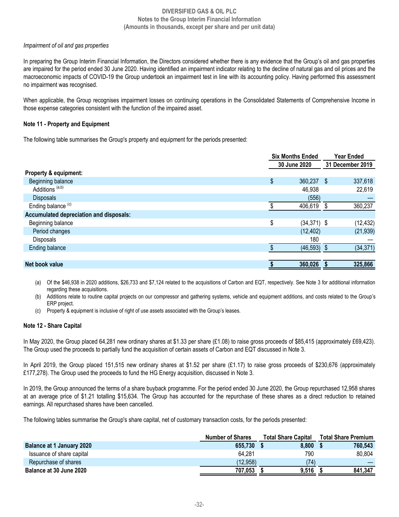# <span id="page-31-0"></span>*Impairment of oil and gas properties*

In preparing the Group Interim Financial Information, the Directors considered whether there is any evidence that the Group's oil and gas properties are impaired for the period ended 30 June 2020. Having identified an impairment indicator relating to the decline of natural gas and oil prices and the macroeconomic impacts of COVID-19 the Group undertook an impairment test in line with its accounting policy. Having performed this assessment no impairment was recognised.

When applicable, the Group recognises impairment losses on continuing operations in the Consolidated Statements of Comprehensive Income in those expense categories consistent with the function of the impaired asset.

# **Note 11 - Property and Equipment**

The following table summarises the Group's property and equipment for the periods presented:

|                                         | <b>Six Months Ended</b> |               |   | <b>Year Ended</b> |
|-----------------------------------------|-------------------------|---------------|---|-------------------|
|                                         |                         | 30 June 2020  |   | 31 December 2019  |
| <b>Property &amp; equipment:</b>        |                         |               |   |                   |
| Beginning balance                       | \$                      | 360,237 \$    |   | 337,618           |
| Additions <sup>(a,b)</sup>              |                         | 46,938        |   | 22,619            |
| <b>Disposals</b>                        |                         | (556)         |   |                   |
| Ending balance <sup>(c)</sup>           |                         | 406,619       | S | 360,237           |
| Accumulated depreciation and disposals: |                         |               |   |                   |
| Beginning balance                       | \$                      | $(34,371)$ \$ |   | (12, 432)         |
| Period changes                          |                         | (12, 402)     |   | (21, 939)         |
| <b>Disposals</b>                        |                         | 180           |   |                   |
| Ending balance                          |                         | $(46,593)$ \$ |   | (34, 371)         |
|                                         |                         |               |   |                   |
| Net book value                          |                         | 360,026       |   | 325,866           |

(a) Of the \$46,938 in 2020 additions, \$26,733 and \$7,124 related to the acquisitions of Carbon and EQT, respectively. See Note 3 for additional information regarding these acquisitions.

(b) Additions relate to routine capital projects on our compressor and gathering systems, vehicle and equipment additions, and costs related to the Group's ERP project.

(c) Property & equipment is inclusive of right of use assets associated with the Group's leases.

# **Note 12 - Share Capital**

In May 2020, the Group placed 64,281 new ordinary shares at \$1.33 per share (£1.08) to raise gross proceeds of \$85,415 (approximately £69,423). The Group used the proceeds to partially fund the acquisition of certain assets of Carbon and EQT discussed in Note 3.

In April 2019, the Group placed 151,515 new ordinary shares at \$1.52 per share (£1.17) to raise gross proceeds of \$230,676 (approximately £177,278). The Group used the proceeds to fund the HG Energy acquisition, discussed in Note 3.

In 2019, the Group announced the terms of a share buyback programme. For the period ended 30 June 2020, the Group repurchased 12,958 shares at an average price of \$1.21 totalling \$15,634. The Group has accounted for the repurchase of these shares as a direct reduction to retained earnings. All repurchased shares have been cancelled.

The following tables summarise the Group's share capital, net of customary transaction costs, for the periods presented:

|                                  | <b>Number of Shares</b> | <b>Total Share Capital</b> | <b>Total Share Premium</b> |         |  |
|----------------------------------|-------------------------|----------------------------|----------------------------|---------|--|
| <b>Balance at 1 January 2020</b> | 655,730                 | 8,800                      |                            | 760.543 |  |
| Issuance of share capital        | 64.281                  | 790                        |                            | 80,804  |  |
| Repurchase of shares             | (12.958)                | (74)                       |                            |         |  |
| Balance at 30 June 2020          | 707.053                 | 9,516                      |                            | 841.347 |  |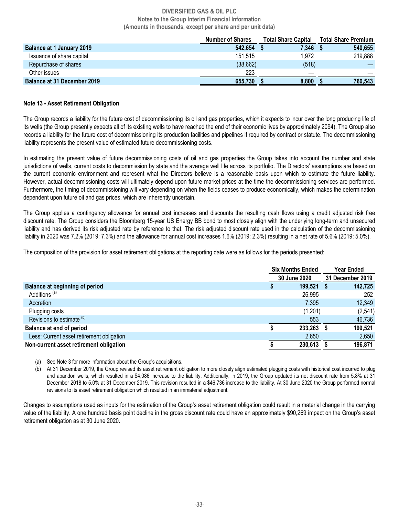<span id="page-32-0"></span>

|                                    | <b>Number of Shares</b> | <b>Total Share Capital</b> | <b>Total Share Premium</b> |
|------------------------------------|-------------------------|----------------------------|----------------------------|
| <b>Balance at 1 January 2019</b>   | 542,654                 | 7,346                      | 540,655                    |
| Issuance of share capital          | 151.515                 | 1,972                      | 219,888                    |
| Repurchase of shares               | (38, 662)               | (518)                      |                            |
| Other issues                       | 223                     |                            |                            |
| <b>Balance at 31 December 2019</b> | 655,730                 | 8,800                      | 760,543                    |

# **Note 13 - Asset Retirement Obligation**

The Group records a liability for the future cost of decommissioning its oil and gas properties, which it expects to incur over the long producing life of its wells (the Group presently expects all of its existing wells to have reached the end of their economic lives by approximately 2094). The Group also records a liability for the future cost of decommissioning its production facilities and pipelines if required by contract or statute. The decommissioning liability represents the present value of estimated future decommissioning costs.

In estimating the present value of future decommissioning costs of oil and gas properties the Group takes into account the number and state jurisdictions of wells, current costs to decommission by state and the average well life across its portfolio. The Directors' assumptions are based on the current economic environment and represent what the Directors believe is a reasonable basis upon which to estimate the future liability. However, actual decommissioning costs will ultimately depend upon future market prices at the time the decommissioning services are performed. Furthermore, the timing of decommissioning will vary depending on when the fields ceases to produce economically, which makes the determination dependent upon future oil and gas prices, which are inherently uncertain.

The Group applies a contingency allowance for annual cost increases and discounts the resulting cash flows using a credit adjusted risk free discount rate. The Group considers the Bloomberg 15-year US Energy BB bond to most closely align with the underlying long-term and unsecured liability and has derived its risk adjusted rate by reference to that. The risk adjusted discount rate used in the calculation of the decommissioning liability in 2020 was 7.2% (2019: 7.3%) and the allowance for annual cost increases 1.6% (2019: 2.3%) resulting in a net rate of 5.6% (2019: 5.0%).

The composition of the provision for asset retirement obligations at the reporting date were as follows for the periods presented:

|                                           | <b>Six Months Ended</b> |   | <b>Year Ended</b> |  |  |
|-------------------------------------------|-------------------------|---|-------------------|--|--|
|                                           | 30 June 2020            |   | 31 December 2019  |  |  |
| Balance at beginning of period            | 199,521                 |   | 142,725           |  |  |
| Additions <sup>(a)</sup>                  | 26,995                  |   | 252               |  |  |
| Accretion                                 | 7,395                   |   | 12,349            |  |  |
| Plugging costs                            | (1,201)                 |   | (2,541)           |  |  |
| Revisions to estimate <sup>(b)</sup>      | 553                     |   | 46,736            |  |  |
| <b>Balance at end of period</b>           | 233,263                 | ъ | 199,521           |  |  |
| Less: Current asset retirement obligation | 2,650                   |   | 2,650             |  |  |
| Non-current asset retirement obligation   | 230,613                 |   | <u>196,871</u>    |  |  |

(a) See Note 3 for more information about the Group's acquisitions.

(b) At 31 December 2019, the Group revised its asset retirement obligation to more closely align estimated plugging costs with historical cost incurred to plug and abandon wells, which resulted in a \$4,086 increase to the liability. Additionally, in 2019, the Group updated its net discount rate from 5.8% at 31 December 2018 to 5.0% at 31 December 2019. This revision resulted in a \$46,736 increase to the liability. At 30 June 2020 the Group performed normal revisions to its asset retirement obligation which resulted in an immaterial adjustment.

Changes to assumptions used as inputs for the estimation of the Group's asset retirement obligation could result in a material change in the carrying value of the liability. A one hundred basis point decline in the gross discount rate could have an approximately \$90,269 impact on the Group's asset retirement obligation as at 30 June 2020.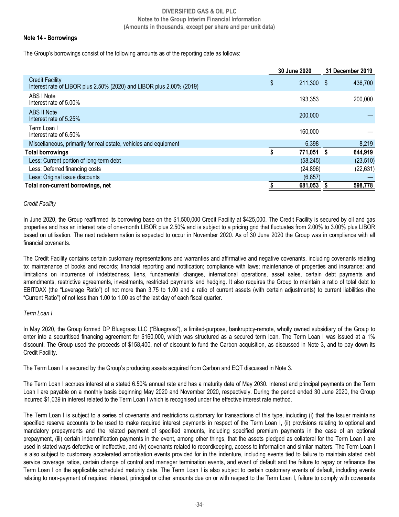# <span id="page-33-0"></span>**Note 14 - Borrowings**

The Group's borrowings consist of the following amounts as of the reporting date as follows:

|                                                                                                | 30 June 2020     |  | 31 December 2019 |
|------------------------------------------------------------------------------------------------|------------------|--|------------------|
| <b>Credit Facility</b><br>Interest rate of LIBOR plus 2.50% (2020) and LIBOR plus 2.00% (2019) | \$<br>211,300 \$ |  | 436,700          |
| ABS I Note<br>Interest rate of 5.00%                                                           | 193,353          |  | 200,000          |
| <b>ABS II Note</b><br>Interest rate of 5.25%                                                   | 200,000          |  |                  |
| Term Loan I<br>Interest rate of 6.50%                                                          | 160,000          |  |                  |
| Miscellaneous, primarily for real estate, vehicles and equipment                               | 6,398            |  | 8,219            |
| <b>Total borrowings</b>                                                                        | 771,051 \$       |  | 644,919          |
| Less: Current portion of long-term debt                                                        | (58, 245)        |  | (23, 510)        |
| Less: Deferred financing costs                                                                 | (24, 896)        |  | (22, 631)        |
| Less: Original issue discounts                                                                 | (6, 857)         |  |                  |
| Total non-current borrowings, net                                                              | 681,053          |  | 598,778          |

# *Credit Facility*

In June 2020, the Group reaffirmed its borrowing base on the \$1,500,000 Credit Facility at \$425,000. The Credit Facility is secured by oil and gas properties and has an interest rate of one-month LIBOR plus 2.50% and is subject to a pricing grid that fluctuates from 2.00% to 3.00% plus LIBOR based on utilisation. The next redetermination is expected to occur in November 2020. As of 30 June 2020 the Group was in compliance with all financial covenants.

The Credit Facility contains certain customary representations and warranties and affirmative and negative covenants, including covenants relating to: maintenance of books and records; financial reporting and notification; compliance with laws; maintenance of properties and insurance; and limitations on incurrence of indebtedness, liens, fundamental changes, international operations, asset sales, certain debt payments and amendments, restrictive agreements, investments, restricted payments and hedging. It also requires the Group to maintain a ratio of total debt to EBITDAX (the "Leverage Ratio") of not more than 3.75 to 1.00 and a ratio of current assets (with certain adjustments) to current liabilities (the "Current Ratio") of not less than 1.00 to 1.00 as of the last day of each fiscal quarter.

# *Term Loan I*

In May 2020, the Group formed DP Bluegrass LLC ("Bluegrass"), a limited-purpose, bankruptcy-remote, wholly owned subsidiary of the Group to enter into a securitised financing agreement for \$160,000, which was structured as a secured term loan. The Term Loan I was issued at a 1% discount. The Group used the proceeds of \$158,400, net of discount to fund the Carbon acquisition, as discussed in Note 3, and to pay down its Credit Facility.

The Term Loan I is secured by the Group's producing assets acquired from Carbon and EQT discussed in Note 3.

The Term Loan I accrues interest at a stated 6.50% annual rate and has a maturity date of May 2030. Interest and principal payments on the Term Loan I are payable on a monthly basis beginning May 2020 and November 2020, respectively. During the period ended 30 June 2020, the Group incurred \$1,039 in interest related to the Term Loan I which is recognised under the effective interest rate method.

The Term Loan I is subject to a series of covenants and restrictions customary for transactions of this type, including (i) that the Issuer maintains specified reserve accounts to be used to make required interest payments in respect of the Term Loan I, (ii) provisions relating to optional and mandatory prepayments and the related payment of specified amounts, including specified premium payments in the case of an optional prepayment, (iii) certain indemnification payments in the event, among other things, that the assets pledged as collateral for the Term Loan I are used in stated ways defective or ineffective, and (iv) covenants related to recordkeeping, access to information and similar matters. The Term Loan I is also subject to customary accelerated amortisation events provided for in the indenture, including events tied to failure to maintain stated debt service coverage ratios, certain change of control and manager termination events, and event of default and the failure to repay or refinance the Term Loan I on the applicable scheduled maturity date. The Term Loan I is also subject to certain customary events of default, including events relating to non-payment of required interest, principal or other amounts due on or with respect to the Term Loan I, failure to comply with covenants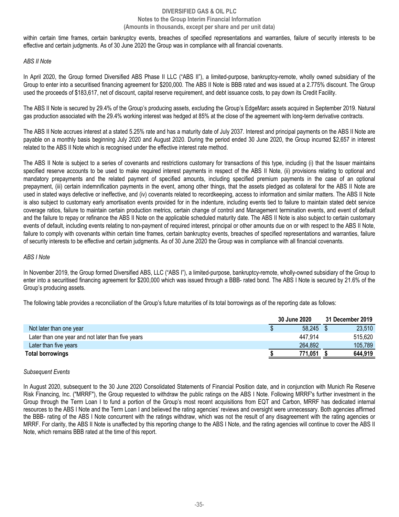within certain time frames, certain bankruptcy events, breaches of specified representations and warranties, failure of security interests to be effective and certain judgments. As of 30 June 2020 the Group was in compliance with all financial covenants.

#### *ABS II Note*

In April 2020, the Group formed Diversified ABS Phase II LLC ("ABS II"), a limited-purpose, bankruptcy-remote, wholly owned subsidiary of the Group to enter into a securitised financing agreement for \$200,000. The ABS II Note is BBB rated and was issued at a 2.775% discount. The Group used the proceeds of \$183,617, net of discount, capital reserve requirement, and debt issuance costs, to pay down its Credit Facility.

The ABS II Note is secured by 29.4% of the Group's producing assets, excluding the Group's EdgeMarc assets acquired in September 2019. Natural gas production associated with the 29.4% working interest was hedged at 85% at the close of the agreement with long-term derivative contracts.

The ABS II Note accrues interest at a stated 5.25% rate and has a maturity date of July 2037. Interest and principal payments on the ABS II Note are payable on a monthly basis beginning July 2020 and August 2020. During the period ended 30 June 2020, the Group incurred \$2,657 in interest related to the ABS II Note which is recognised under the effective interest rate method.

The ABS II Note is subject to a series of covenants and restrictions customary for transactions of this type, including (i) that the Issuer maintains specified reserve accounts to be used to make required interest payments in respect of the ABS II Note, (ii) provisions relating to optional and mandatory prepayments and the related payment of specified amounts, including specified premium payments in the case of an optional prepayment, (iii) certain indemnification payments in the event, among other things, that the assets pledged as collateral for the ABS II Note are used in stated ways defective or ineffective, and (iv) covenants related to recordkeeping, access to information and similar matters. The ABS II Note is also subject to customary early amortisation events provided for in the indenture, including events tied to failure to maintain stated debt service coverage ratios, failure to maintain certain production metrics, certain change of control and Management termination events, and event of default and the failure to repay or refinance the ABS II Note on the applicable scheduled maturity date. The ABS II Note is also subject to certain customary events of default, including events relating to non-payment of required interest, principal or other amounts due on or with respect to the ABS II Note, failure to comply with covenants within certain time frames, certain bankruptcy events, breaches of specified representations and warranties, failure of security interests to be effective and certain judgments. As of 30 June 2020 the Group was in compliance with all financial covenants.

#### *ABS I Note*

In November 2019, the Group formed Diversified ABS, LLC ("ABS I"), a limited-purpose, bankruptcy-remote, wholly-owned subsidiary of the Group to enter into a securitised financing agreement for \$200,000 which was issued through a BBB- rated bond. The ABS I Note is secured by 21.6% of the Group's producing assets.

The following table provides a reconciliation of the Group's future maturities of its total borrowings as of the reporting date as follows:

|                                                   | 30 June 2020 | 31 December 2019 |
|---------------------------------------------------|--------------|------------------|
| Not later than one year                           | 58.245       | 23,510           |
| Later than one year and not later than five years | 447.914      | 515,620          |
| Later than five years                             | 264,892      | 105,789          |
| <b>Total borrowings</b>                           | 771.051      | 644,919          |

#### *Subsequent Events*

In August 2020, subsequent to the 30 June 2020 Consolidated Statements of Financial Position date, and in conjunction with Munich Re Reserve Risk Financing, Inc. ("MRRF"), the Group requested to withdraw the public ratings on the ABS I Note. Following MRRF's further investment in the Group through the Term Loan I to fund a portion of the Group's most recent acquisitions from EQT and Carbon, MRRF has dedicated internal resources to the ABS I Note and the Term Loan I and believed the rating agencies' reviews and oversight were unnecessary. Both agencies affirmed the BBB- rating of the ABS I Note concurrent with the ratings withdraw, which was not the result of any disagreement with the rating agencies or MRRF. For clarity, the ABS II Note is unaffected by this reporting change to the ABS I Note, and the rating agencies will continue to cover the ABS II Note, which remains BBB rated at the time of this report.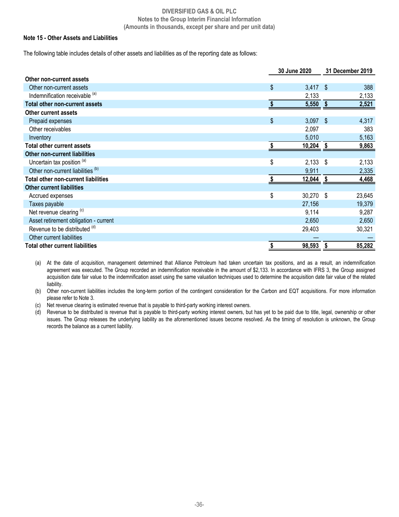# <span id="page-35-0"></span>**Note 15 - Other Assets and Liabilities**

The following table includes details of other assets and liabilities as of the reporting date as follows:

|                                            |                   | 30 June 2020 |     | 31 December 2019 |  |
|--------------------------------------------|-------------------|--------------|-----|------------------|--|
| Other non-current assets                   |                   |              |     |                  |  |
| Other non-current assets                   | \$                | $3,417$ \$   |     | 388              |  |
| Indemnification receivable (a)             |                   | 2,133        |     | 2,133            |  |
| <b>Total other non-current assets</b>      |                   | $5,550$ \$   |     | 2,521            |  |
| <b>Other current assets</b>                |                   |              |     |                  |  |
| Prepaid expenses                           | $\boldsymbol{\$}$ | $3,097$ \$   |     | 4,317            |  |
| Other receivables                          |                   | 2,097        |     | 383              |  |
| Inventory                                  |                   | 5,010        |     | 5,163            |  |
| <b>Total other current assets</b>          |                   | $10,204$ \$  |     | 9,863            |  |
| <b>Other non-current liabilities</b>       |                   |              |     |                  |  |
| Uncertain tax position (a)                 | \$                | $2,133$ \$   |     | 2,133            |  |
| Other non-current liabilities (b)          |                   | 9,911        |     | 2,335            |  |
| <b>Total other non-current liabilities</b> |                   | $12,044$ \$  |     | 4,468            |  |
| <b>Other current liabilities</b>           |                   |              |     |                  |  |
| Accrued expenses                           | \$                | 30,270 \$    |     | 23,645           |  |
| Taxes payable                              |                   | 27,156       |     | 19,379           |  |
| Net revenue clearing (c)                   |                   | 9,114        |     | 9,287            |  |
| Asset retirement obligation - current      |                   | 2,650        |     | 2,650            |  |
| Revenue to be distributed (d)              |                   | 29,403       |     | 30,321           |  |
| Other current liabilities                  |                   |              |     |                  |  |
| <b>Total other current liabilities</b>     | \$                | 98,593       | -\$ | 85,282           |  |

(a) At the date of acquisition, management determined that Alliance Petroleum had taken uncertain tax positions, and as a result, an indemnification agreement was executed. The Group recorded an indemnification receivable in the amount of \$2,133. In accordance with IFRS 3, the Group assigned acquisition date fair value to the indemnification asset using the same valuation techniques used to determine the acquisition date fair value of the related liability.

(b) Other non-current liabilities includes the long-term portion of the contingent consideration for the Carbon and EQT acquisitions. For more information please refer to Note 3.

(c) Net revenue clearing is estimated revenue that is payable to third-party working interest owners.

(d) Revenue to be distributed is revenue that is payable to third-party working interest owners, but has yet to be paid due to title, legal, ownership or other issues. The Group releases the underlying liability as the aforementioned issues become resolved. As the timing of resolution is unknown, the Group records the balance as a current liability.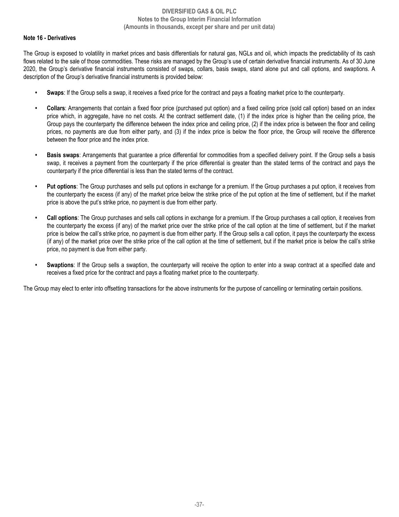# <span id="page-36-0"></span>**Note 16 - Derivatives**

The Group is exposed to volatility in market prices and basis differentials for natural gas, NGLs and oil, which impacts the predictability of its cash flows related to the sale of those commodities. These risks are managed by the Group's use of certain derivative financial instruments. As of 30 June 2020, the Group's derivative financial instruments consisted of swaps, collars, basis swaps, stand alone put and call options, and swaptions. A description of the Group's derivative financial instruments is provided below:

- **• Swaps**: If the Group sells a swap, it receives a fixed price for the contract and pays a floating market price to the counterparty.
- **• Collars**: Arrangements that contain a fixed floor price (purchased put option) and a fixed ceiling price (sold call option) based on an index price which, in aggregate, have no net costs. At the contract settlement date, (1) if the index price is higher than the ceiling price, the Group pays the counterparty the difference between the index price and ceiling price, (2) if the index price is between the floor and ceiling prices, no payments are due from either party, and (3) if the index price is below the floor price, the Group will receive the difference between the floor price and the index price.
- **• Basis swaps**: Arrangements that guarantee a price differential for commodities from a specified delivery point. If the Group sells a basis swap, it receives a payment from the counterparty if the price differential is greater than the stated terms of the contract and pays the counterparty if the price differential is less than the stated terms of the contract.
- **• Put options**: The Group purchases and sells put options in exchange for a premium. If the Group purchases a put option, it receives from the counterparty the excess (if any) of the market price below the strike price of the put option at the time of settlement, but if the market price is above the put's strike price, no payment is due from either party.
- **• Call options**: The Group purchases and sells call options in exchange for a premium. If the Group purchases a call option, it receives from the counterparty the excess (if any) of the market price over the strike price of the call option at the time of settlement, but if the market price is below the call's strike price, no payment is due from either party. If the Group sells a call option, it pays the counterparty the excess (if any) of the market price over the strike price of the call option at the time of settlement, but if the market price is below the call's strike price, no payment is due from either party.
- **• Swaptions**: If the Group sells a swaption, the counterparty will receive the option to enter into a swap contract at a specified date and receives a fixed price for the contract and pays a floating market price to the counterparty.

The Group may elect to enter into offsetting transactions for the above instruments for the purpose of cancelling or terminating certain positions.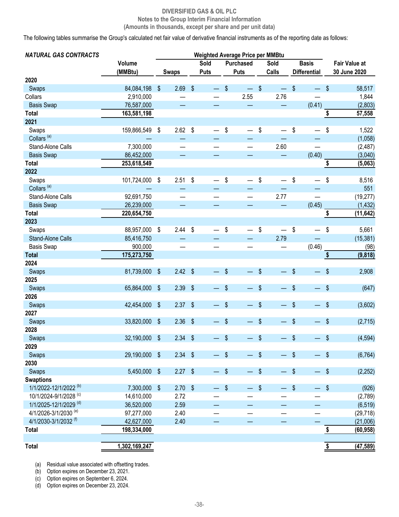The following tables summarise the Group's calculated net fair value of derivative financial instruments as of the reporting date as follows:

| <b>NATURAL GAS CONTRACTS</b>      |               | Weighted Average Price per MMBtu |              |                         |                          |    |                  |                           |                   |                           |                          |                           |                      |
|-----------------------------------|---------------|----------------------------------|--------------|-------------------------|--------------------------|----|------------------|---------------------------|-------------------|---------------------------|--------------------------|---------------------------|----------------------|
|                                   | Volume        |                                  |              |                         | Sold                     |    | <b>Purchased</b> |                           | Sold              |                           | <b>Basis</b>             |                           | <b>Fair Value at</b> |
|                                   | (MMBtu)       |                                  | <b>Swaps</b> |                         | <b>Puts</b>              |    | Puts             |                           | Calls             |                           | <b>Differential</b>      |                           | 30 June 2020         |
| 2020                              |               |                                  |              |                         |                          |    |                  |                           |                   |                           |                          |                           |                      |
| Swaps                             | 84,084,198    | \$                               | 2.69         | $\sqrt[6]{\frac{1}{2}}$ | $\overline{\phantom{0}}$ | \$ |                  | \$                        |                   | $\boldsymbol{\mathsf{S}}$ | $\overline{\phantom{0}}$ | \$                        | 58,517               |
| Collars                           | 2,910,000     |                                  |              |                         |                          |    | 2.55             |                           | 2.76              |                           |                          |                           | 1,844                |
| <b>Basis Swap</b>                 | 76,587,000    |                                  |              |                         |                          |    |                  |                           |                   |                           | (0.41)                   |                           | (2,803)              |
| <b>Total</b>                      | 163,581,198   |                                  |              |                         |                          |    |                  |                           |                   |                           |                          | \$                        | 57,558               |
| 2021                              |               |                                  |              |                         |                          |    |                  |                           |                   |                           |                          |                           |                      |
| Swaps                             | 159,866,549   | \$                               | 2.62         | $\sqrt[6]{3}$           |                          | \$ |                  | \$                        |                   | \$                        |                          | \$                        | 1,522                |
| Collars <sup>(a)</sup>            |               |                                  |              |                         |                          |    |                  |                           |                   |                           |                          |                           | (1,058)              |
| Stand-Alone Calls                 | 7,300,000     |                                  |              |                         |                          |    |                  |                           | 2.60              |                           |                          |                           | (2,487)              |
| <b>Basis Swap</b>                 | 86,452,000    |                                  |              |                         |                          |    |                  |                           |                   |                           | (0.40)                   |                           | (3,040)              |
| <b>Total</b>                      | 253,618,549   |                                  |              |                         |                          |    |                  |                           |                   |                           |                          | \$                        | (5,063)              |
| 2022                              |               |                                  |              |                         |                          |    |                  |                           |                   |                           |                          |                           |                      |
| Swaps                             | 101,724,000   | \$                               | 2.51         | \$                      |                          | \$ |                  | \$                        |                   | \$                        |                          | \$                        | 8,516                |
| Collars <sup>(a)</sup>            |               |                                  |              |                         |                          |    |                  |                           |                   |                           |                          |                           | 551                  |
| Stand-Alone Calls                 | 92,691,750    |                                  |              |                         |                          |    |                  |                           | 2.77              |                           |                          |                           | (19, 277)            |
| <b>Basis Swap</b>                 | 26,239,000    |                                  |              |                         |                          |    |                  |                           |                   |                           | (0.45)                   |                           | (1, 432)             |
| <b>Total</b>                      | 220,654,750   |                                  |              |                         |                          |    |                  |                           |                   |                           |                          | \$                        | (11, 642)            |
| 2023                              |               |                                  |              |                         |                          |    |                  |                           |                   |                           |                          |                           |                      |
| Swaps                             | 88,957,000    | \$                               | 2.44         | $\frac{1}{2}$           |                          | \$ |                  | \$                        |                   | \$                        |                          | \$                        | 5,661                |
| <b>Stand-Alone Calls</b>          | 85,416,750    |                                  |              |                         |                          |    |                  |                           | 2.79              |                           |                          |                           | (15, 381)            |
| <b>Basis Swap</b>                 | 900,000       |                                  |              |                         |                          |    |                  |                           |                   |                           | (0.46)                   |                           | (98)                 |
| <b>Total</b>                      | 175,273,750   |                                  |              |                         |                          |    |                  |                           |                   |                           |                          | \$                        | (9, 818)             |
| 2024                              |               |                                  |              |                         |                          |    |                  |                           |                   |                           |                          |                           |                      |
| Swaps                             | 81,739,000    | $\sqrt[6]{\frac{1}{2}}$          | 2.42         | $\sqrt{3}$              |                          | \$ |                  | \$                        |                   | \$                        | $\overline{\phantom{0}}$ | \$                        | 2,908                |
| 2025                              |               |                                  |              |                         |                          |    |                  |                           |                   |                           |                          |                           |                      |
| Swaps                             | 65,864,000    | $\sqrt[6]{\frac{1}{2}}$          | 2.39         | $\sqrt[6]{\frac{1}{2}}$ |                          | \$ |                  | \$                        |                   | $\boldsymbol{\mathsf{S}}$ | ш,                       | \$                        | (647)                |
| 2026                              |               |                                  |              |                         |                          |    |                  |                           |                   |                           |                          |                           |                      |
| Swaps                             | 42,454,000    | $\sqrt{3}$                       | 2.37         | $\sqrt{3}$              |                          | \$ |                  | \$                        |                   | $\boldsymbol{\mathsf{S}}$ | and the state            | $\sqrt[6]{\frac{1}{2}}$   | (3,602)              |
| 2027                              |               |                                  |              |                         |                          |    |                  |                           |                   |                           |                          |                           |                      |
| Swaps                             | 33,820,000    | $\sqrt[6]{\frac{1}{2}}$          | 2.36         | $\sqrt[6]{\frac{1}{2}}$ |                          | \$ |                  | $\frac{1}{2}$             |                   | \$                        | $-$ \$                   |                           | (2,715)              |
| 2028                              |               |                                  |              |                         |                          |    |                  |                           |                   |                           |                          |                           |                      |
| Swaps                             | 32,190,000    | $\sqrt[6]{\frac{1}{2}}$          | 2.34         | $\sqrt{3}$              | -                        | \$ |                  | \$                        |                   | \$                        | $-$                      | $\boldsymbol{\mathsf{S}}$ | (4, 594)             |
| 2029                              |               |                                  |              |                         |                          |    |                  |                           |                   |                           |                          |                           |                      |
| Swaps                             | 29,190,000 \$ |                                  | $2.34$ \$    |                         | $\equiv$                 | \$ | $-$ \$           |                           | $\equiv$ $\equiv$ | $\sqrt[6]{\frac{1}{2}}$   | $-$ \$                   |                           | (6, 764)             |
| 2030                              |               |                                  |              |                         |                          |    |                  |                           |                   |                           |                          |                           |                      |
| Swaps                             | 5,450,000 \$  |                                  | $2.27$ \$    |                         | ш,                       | \$ |                  | $\boldsymbol{\mathsf{S}}$ |                   | \$                        | $-$ \$                   |                           | (2, 252)             |
| <b>Swaptions</b>                  |               |                                  |              |                         |                          |    |                  |                           |                   |                           |                          |                           |                      |
| 1/1/2022-12/1/2022 <sup>(b)</sup> | 7,300,000     | $\sqrt{3}$                       | $2.70$ \$    |                         |                          | \$ |                  | \$                        |                   | \$                        | $-$ \$                   |                           | (926)                |
| 10/1/2024-9/1/2028 <sup>(c)</sup> | 14,610,000    |                                  | 2.72         |                         |                          |    |                  |                           |                   |                           |                          |                           | (2,789)              |
| 1/1/2025-12/1/2029 <sup>(d)</sup> | 36,520,000    |                                  | 2.59         |                         |                          |    |                  |                           |                   |                           |                          |                           | (6, 519)             |
| 4/1/2026-3/1/2030 <sup>(e)</sup>  | 97,277,000    |                                  | 2.40         |                         |                          |    |                  |                           |                   |                           |                          |                           | (29, 718)            |
| 4/1/2030-3/1/2032 <sup>(f)</sup>  | 42,627,000    |                                  | 2.40         |                         |                          |    |                  |                           |                   |                           |                          |                           | (21,006)             |
| <b>Total</b>                      | 198,334,000   |                                  |              |                         |                          |    |                  |                           |                   |                           |                          | \$                        | (60, 958)            |
|                                   |               |                                  |              |                         |                          |    |                  |                           |                   |                           |                          |                           |                      |
| <b>Total</b>                      | 1,302,169,247 |                                  |              |                         |                          |    |                  |                           |                   |                           |                          | $\overline{\$}$           | (47, 589)            |

(a) Residual value associated with offsetting trades.

(b) Option expires on December 23, 2021.

(c) Option expires on September 6, 2024.

(d) Option expires on December 23, 2024.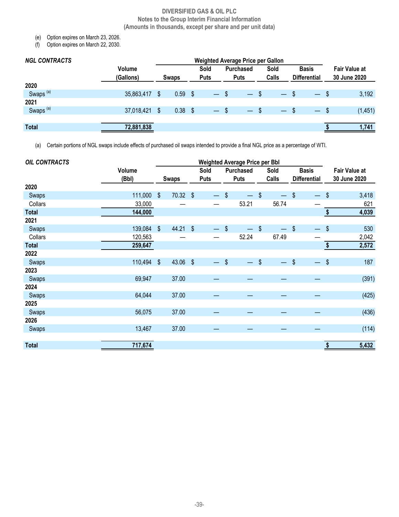- (e) Option expires on March 23, 2026.
- (f) Option expires on March 22, 2030.

| <b>NGL CONTRACTS</b> | <b>Weighted Average Price per Gallon</b> |      |              |      |                          |          |                  |  |        |  |                     |     |                      |
|----------------------|------------------------------------------|------|--------------|------|--------------------------|----------|------------------|--|--------|--|---------------------|-----|----------------------|
|                      | Volume                                   |      |              |      | Sold                     |          | <b>Purchased</b> |  | Sold   |  | <b>Basis</b>        |     | <b>Fair Value at</b> |
|                      | (Gallons)                                |      | <b>Swaps</b> |      | <b>Puts</b>              |          | <b>Puts</b>      |  | Calls  |  | <b>Differential</b> |     | 30 June 2020         |
| 2020                 |                                          |      |              |      |                          |          |                  |  |        |  |                     |     |                      |
| Swaps <sup>(a)</sup> | 35,863,417                               | - \$ | 0.59         | - \$ | $-$ \$                   |          | $-$ \$           |  | $-$ \$ |  | $\qquad \qquad -$   | -S  | 3,192                |
| 2021                 |                                          |      |              |      |                          |          |                  |  |        |  |                     |     |                      |
| Swaps <sup>(a)</sup> | 37,018,421                               | - \$ | 0.38         | - \$ | $\overline{\phantom{m}}$ | <b>S</b> | $-$ \$           |  | $-$ \$ |  | $\qquad \qquad -$   | -\$ | (1, 451)             |
|                      |                                          |      |              |      |                          |          |                  |  |        |  |                     |     |                      |
| <b>Total</b>         | 72,881,838                               |      |              |      |                          |          |                  |  |        |  |                     |     | 1,741                |

(a) Certain portions of NGL swaps include effects of purchased oil swaps intended to provide a final NGL price as a percentage of WTI.

| <b>OIL CONTRACTS</b> |                 | <b>Weighted Average Price per Bbl</b> |              |  |                          |    |                          |                      |       |                           |                                     |                                      |
|----------------------|-----------------|---------------------------------------|--------------|--|--------------------------|----|--------------------------|----------------------|-------|---------------------------|-------------------------------------|--------------------------------------|
|                      | Volume<br>(Bbl) |                                       | <b>Swaps</b> |  | Sold<br>Puts             |    | <b>Purchased</b><br>Puts | Sold<br><b>Calls</b> |       |                           | <b>Basis</b><br><b>Differential</b> | <b>Fair Value at</b><br>30 June 2020 |
| 2020                 |                 |                                       |              |  |                          |    |                          |                      |       |                           |                                     |                                      |
| Swaps                | 111,000         | $\sqrt[6]{3}$                         | 70.32 \$     |  | $\overline{\phantom{0}}$ | \$ |                          | \$                   |       | \$                        | $\overline{\phantom{0}}$            | \$<br>3,418                          |
| Collars              | 33,000          |                                       |              |  |                          |    | 53.21                    |                      | 56.74 |                           |                                     | 621                                  |
| <b>Total</b>         | 144,000         |                                       |              |  |                          |    |                          |                      |       |                           |                                     | \$<br>4,039                          |
| 2021                 |                 |                                       |              |  |                          |    |                          |                      |       |                           |                                     |                                      |
| Swaps                | 139,084 \$      |                                       | 44.21 \$     |  |                          | \$ |                          | \$                   |       | \$                        | and the                             | \$<br>530                            |
| Collars              | 120,563         |                                       |              |  |                          |    | 52.24                    |                      | 67.49 |                           |                                     | 2,042                                |
| <b>Total</b>         | 259,647         |                                       |              |  |                          |    |                          |                      |       |                           |                                     | \$<br>2,572                          |
| 2022                 |                 |                                       |              |  |                          |    |                          |                      |       |                           |                                     |                                      |
| Swaps                | 110,494         | $\sqrt{3}$                            | 43.06 \$     |  |                          | \$ |                          | \$                   |       | $\boldsymbol{\mathsf{s}}$ | $\overline{\phantom{0}}$            | \$<br>187                            |
| 2023                 |                 |                                       |              |  |                          |    |                          |                      |       |                           |                                     |                                      |
| Swaps                | 69,947          |                                       | 37.00        |  |                          |    |                          |                      |       |                           |                                     | (391)                                |
| 2024                 |                 |                                       |              |  |                          |    |                          |                      |       |                           |                                     |                                      |
| Swaps                | 64,044          |                                       | 37.00        |  |                          |    |                          |                      |       |                           |                                     | (425)                                |
| 2025                 |                 |                                       |              |  |                          |    |                          |                      |       |                           |                                     |                                      |
| Swaps                | 56,075          |                                       | 37.00        |  |                          |    |                          |                      |       |                           |                                     | (436)                                |
| 2026                 |                 |                                       |              |  |                          |    |                          |                      |       |                           |                                     |                                      |
| Swaps                | 13,467          |                                       | 37.00        |  |                          |    |                          |                      |       |                           |                                     | (114)                                |
|                      |                 |                                       |              |  |                          |    |                          |                      |       |                           |                                     |                                      |
| <b>Total</b>         | 717,674         |                                       |              |  |                          |    |                          |                      |       |                           |                                     | 5,432                                |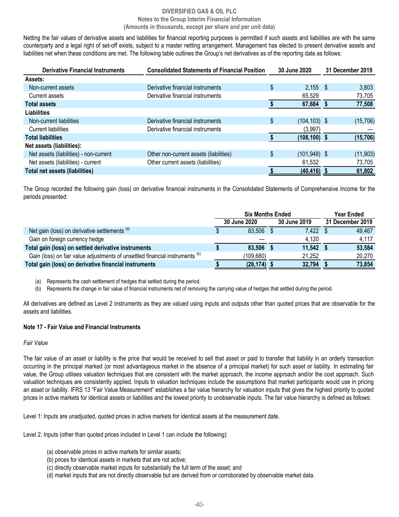<span id="page-39-0"></span>Netting the fair values of derivative assets and liabilities for financial reporting purposes is permitted if such assets and liabilities are with the same counterparty and a legal right of set-off exists, subject to a master netting arrangement. Management has elected to present derivative assets and liabilities net when these conditions are met. The following table outlines the Group's net derivatives as of the reporting date as follows:

| <b>Derivative Financial Instruments</b> | <b>Consolidated Statements of Financial Position</b> | 30 June 2020          | 31 December 2019 |           |  |
|-----------------------------------------|------------------------------------------------------|-----------------------|------------------|-----------|--|
| Assets:                                 |                                                      |                       |                  |           |  |
| Non-current assets                      | Derivative financial instruments                     | \$<br>$2,155$ \$      |                  | 3,803     |  |
| Current assets                          | Derivative financial instruments                     | 65,529                |                  | 73,705    |  |
| <b>Total assets</b>                     |                                                      | 67,684 \$             |                  | 77,508    |  |
| <b>Liabilities</b>                      |                                                      |                       |                  |           |  |
| Non-current liabilities                 | Derivative financial instruments                     | \$<br>$(104, 103)$ \$ |                  | (15, 706) |  |
| Current liabilities                     | Derivative financial instruments                     | (3,997)               |                  |           |  |
| <b>Total liabilities</b>                |                                                      | $(108, 100)$ \$       |                  | (15, 706) |  |
| Net assets (liabilities):               |                                                      |                       |                  |           |  |
| Net assets (liabilities) - non-current  | Other non-current assets (liabilities)               | \$<br>$(101, 948)$ \$ |                  | (11,903)  |  |
| Net assets (liabilities) - current      | Other current assets (liabilities)                   | 61.532                |                  | 73,705    |  |
| <b>Total net assets (liabilities)</b>   |                                                      | $(40, 416)$ \$        |                  | 61,802    |  |

The Group recorded the following gain (loss) on derivative financial instruments in the Consolidated Statements of Comprehensive Income for the periods presented:

|                                                                              | <b>Six Months Ended</b> | <b>Year Ended</b> |  |                  |
|------------------------------------------------------------------------------|-------------------------|-------------------|--|------------------|
|                                                                              | 30 June 2020            | 30 June 2019      |  | 31 December 2019 |
| Net gain (loss) on derivative settlements (a)                                | 83,506 \$               | 7,422             |  | 49,467           |
| Gain on foreign currency hedge                                               |                         | 4.120             |  | 4,117            |
| Total gain (loss) on settled derivative instruments                          | 83,506 \$               | 11,542            |  | 53,584           |
| Gain (loss) on fair value adjustments of unsettled financial instruments (b) | (109,680)               | 21,252            |  | 20,270           |
| Total gain (loss) on derivative financial instruments                        | (26, 174)               | 32.794            |  | 73,854           |

(a) Represents the cash settlement of hedges that settled during the period.

(b) Represents the change in fair value of financial instruments net of removing the carrying value of hedges that settled during the period.

All derivatives are defined as Level 2 instruments as they are valued using inputs and outputs other than quoted prices that are observable for the assets and liabilities.

# **Note 17 - Fair Value and Financial Instruments**

# *Fair Value*

The fair value of an asset or liability is the price that would be received to sell that asset or paid to transfer that liability in an orderly transaction occurring in the principal marked (or most advantageous market in the absence of a principal market) for such asset or liability. In estimating fair value, the Group utilises valuation techniques that are consistent with the market approach, the income approach and/or the cost approach. Such valuation techniques are consistently applied. Inputs to valuation techniques include the assumptions that market participants would use in pricing an asset or liability. IFRS 13 "Fair Value Measurement" establishes a fair value hierarchy for valuation inputs that gives the highest priority to quoted prices in active markets for identical assets or liabilities and the lowest priority to unobservable inputs. The fair value hierarchy is defined as follows:

Level 1: Inputs are unadjusted, quoted prices in active markets for identical assets at the measurement date.

Level 2: Inputs (other than quoted prices included in Level 1 can include the following):

- (a) observable prices in active markets for similar assets;
- (b) prices for identical assets in markets that are not active;
- (c) directly observable market inputs for substantially the full term of the asset; and
- (d) market inputs that are not directly observable but are derived from or corroborated by observable market data.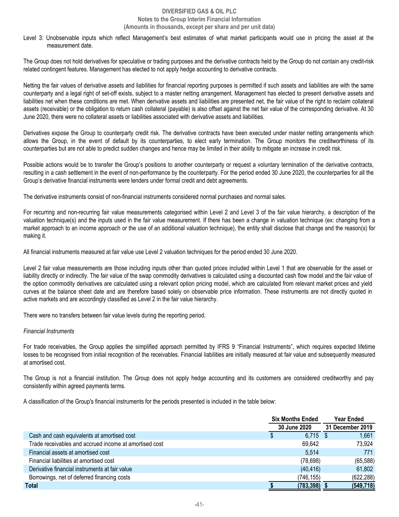# **DIVERSIFIED GAS & OIL PLC**

# **Notes to the Group Interim Financial Information**

**(Amounts in thousands, except per share and per unit data)**

Level 3: Unobservable inputs which reflect Management's best estimates of what market participants would use in pricing the asset at the measurement date.

The Group does not hold derivatives for speculative or trading purposes and the derivative contracts held by the Group do not contain any credit-risk related contingent features. Management has elected to not apply hedge accounting to derivative contracts.

Netting the fair values of derivative assets and liabilities for financial reporting purposes is permitted if such assets and liabilities are with the same counterparty and a legal right of set-off exists, subject to a master netting arrangement. Management has elected to present derivative assets and liabilities net when these conditions are met. When derivative assets and liabilities are presented net, the fair value of the right to reclaim collateral assets (receivable) or the obligation to return cash collateral (payable) is also offset against the net fair value of the corresponding derivative. At 30 June 2020, there were no collateral assets or liabilities associated with derivative assets and liabilities.

Derivatives expose the Group to counterparty credit risk. The derivative contracts have been executed under master netting arrangements which allows the Group, in the event of default by its counterparties, to elect early termination. The Group monitors the creditworthiness of its counterparties but are not able to predict sudden changes and hence may be limited in their ability to mitigate an increase in credit risk.

Possible actions would be to transfer the Group's positions to another counterparty or request a voluntary termination of the derivative contracts, resulting in a cash settlement in the event of non-performance by the counterparty. For the period ended 30 June 2020, the counterparties for all the Group's derivative financial instruments were lenders under formal credit and debt agreements.

The derivative instruments consist of non-financial instruments considered normal purchases and normal sales.

For recurring and non-recurring fair value measurements categorised within Level 2 and Level 3 of the fair value hierarchy, a description of the valuation technique(s) and the inputs used in the fair value measurement. If there has been a change in valuation technique (ex: changing from a market approach to an income approach or the use of an additional valuation technique), the entity shall disclose that change and the reason(s) for making it.

All financial instruments measured at fair value use Level 2 valuation techniques for the period ended 30 June 2020.

Level 2 fair value measurements are those including inputs other than quoted prices included within Level 1 that are observable for the asset or liability directly or indirectly. The fair value of the swap commodity derivatives is calculated using a discounted cash flow model and the fair value of the option commodity derivatives are calculated using a relevant option pricing model, which are calculated from relevant market prices and yield curves at the balance sheet date and are therefore based solely on observable price information. These instruments are not directly quoted in active markets and are accordingly classified as Level 2 in the fair value hierarchy.

There were no transfers between fair value levels during the reporting period.

#### *Financial Instruments*

For trade receivables, the Group applies the simplified approach permitted by IFRS 9 "Financial Instruments", which requires expected lifetime losses to be recognised from initial recognition of the receivables. Financial liabilities are initially measured at fair value and subsequently measured at amortised cost.

The Group is not a financial institution. The Group does not apply hedge accounting and its customers are considered creditworthy and pay consistently within agreed payments terms.

A classification of the Group's financial instruments for the periods presented is included in the table below:

|                                                        | <b>Six Months Ended</b> | <b>Year Ended</b> |            |  |
|--------------------------------------------------------|-------------------------|-------------------|------------|--|
|                                                        | 30 June 2020            | 31 December 2019  |            |  |
| Cash and cash equivalents at amortised cost            | 6.715 \$                |                   | 1,661      |  |
| Trade receivables and accrued income at amortised cost | 69,642                  |                   | 73,924     |  |
| Financial assets at amortised cost                     | 5,514                   |                   | 771        |  |
| Financial liabilities at amortised cost                | (78, 698)               |                   | (65, 588)  |  |
| Derivative financial instruments at fair value         | (40, 416)               |                   | 61,802     |  |
| Borrowings, net of deferred financing costs            | (746, 155)              |                   | (622, 288) |  |
| <b>Total</b>                                           | (783,398)               |                   | (549, 718) |  |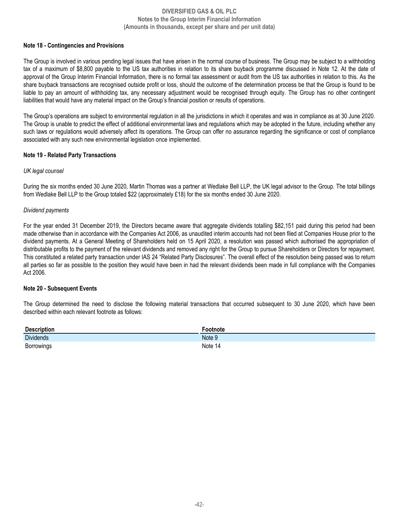# <span id="page-41-0"></span>**Note 18 - Contingencies and Provisions**

The Group is involved in various pending legal issues that have arisen in the normal course of business. The Group may be subject to a withholding tax of a maximum of \$8,800 payable to the US tax authorities in relation to its share buyback programme discussed in Note 12. At the date of approval of the Group Interim Financial Information, there is no formal tax assessment or audit from the US tax authorities in relation to this. As the share buyback transactions are recognised outside profit or loss, should the outcome of the determination process be that the Group is found to be liable to pay an amount of withholding tax, any necessary adjustment would be recognised through equity. The Group has no other contingent liabilities that would have any material impact on the Group's financial position or results of operations.

The Group's operations are subject to environmental regulation in all the jurisdictions in which it operates and was in compliance as at 30 June 2020. The Group is unable to predict the effect of additional environmental laws and regulations which may be adopted in the future, including whether any such laws or regulations would adversely affect its operations. The Group can offer no assurance regarding the significance or cost of compliance associated with any such new environmental legislation once implemented.

# **Note 19 - Related Party Transactions**

# *UK legal counsel*

During the six months ended 30 June 2020, Martin Thomas was a partner at Wedlake Bell LLP, the UK legal advisor to the Group. The total billings from Wedlake Bell LLP to the Group totaled \$22 (approximately £18) for the six months ended 30 June 2020.

# *Dividend payments*

For the year ended 31 December 2019, the Directors became aware that aggregate dividends totalling \$82,151 paid during this period had been made otherwise than in accordance with the Companies Act 2006, as unaudited interim accounts had not been filed at Companies House prior to the dividend payments. At a General Meeting of Shareholders held on 15 April 2020, a resolution was passed which authorised the appropriation of distributable profits to the payment of the relevant dividends and removed any right for the Group to pursue Shareholders or Directors for repayment. This constituted a related party transaction under IAS 24 "Related Party Disclosures". The overall effect of the resolution being passed was to return all parties so far as possible to the position they would have been in had the relevant dividends been made in full compliance with the Companies Act 2006.

# **Note 20 - Subsequent Events**

The Group determined the need to disclose the following material transactions that occurred subsequent to 30 June 2020, which have been described within each relevant footnote as follows:

| <b>Description</b> | ootnote |
|--------------------|---------|
| <b>Dividends</b>   | Note 5  |
| Borrowings<br>ັ    | Note 14 |